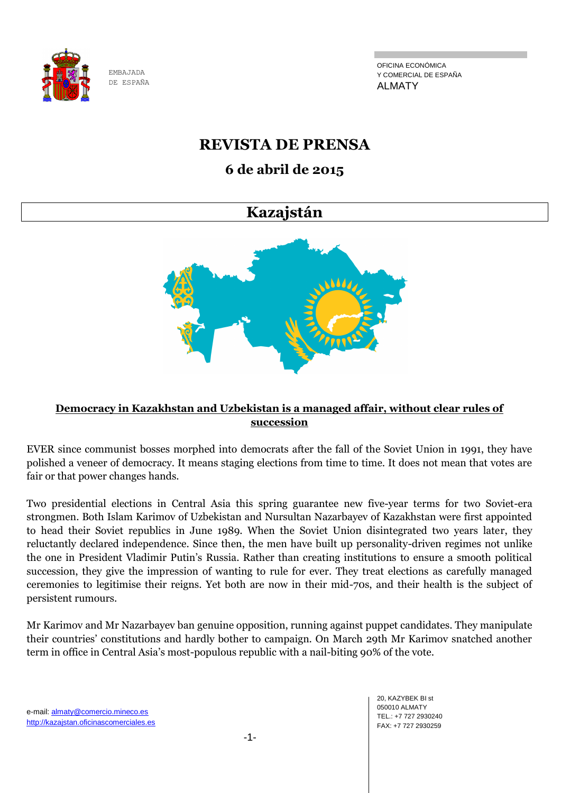

OFICINA ECONÓMICA Y COMERCIAL DE ESPAÑA ALMATY

# **REVISTA DE PRENSA**

## **6 de abril de 2015**

# **Kazajstán**



#### **Democracy in Kazakhstan and Uzbekistan is a managed affair, without clear rules of succession**

EVER since communist bosses morphed into democrats after the fall of the Soviet Union in 1991, they have polished a veneer of democracy. It means staging elections from time to time. It does not mean that votes are fair or that power changes hands.

Two presidential elections in Central Asia this spring guarantee new five-year terms for two Soviet-era strongmen. Both Islam Karimov of Uzbekistan and Nursultan Nazarbayev of Kazakhstan were first appointed to head their Soviet republics in June 1989. When the Soviet Union disintegrated two years later, they reluctantly declared independence. Since then, the men have built up personality-driven regimes not unlike the one in President Vladimir Putin's Russia. Rather than creating institutions to ensure a smooth political succession, they give the impression of wanting to rule for ever. They treat elections as carefully managed ceremonies to legitimise their reigns. Yet both are now in their mid-70s, and their health is the subject of persistent rumours.

Mr Karimov and Mr Nazarbayev ban genuine opposition, running against puppet candidates. They manipulate their countries' constitutions and hardly bother to campaign. On March 29th Mr Karimov snatched another term in office in Central Asia's most-populous republic with a nail-biting 90% of the vote.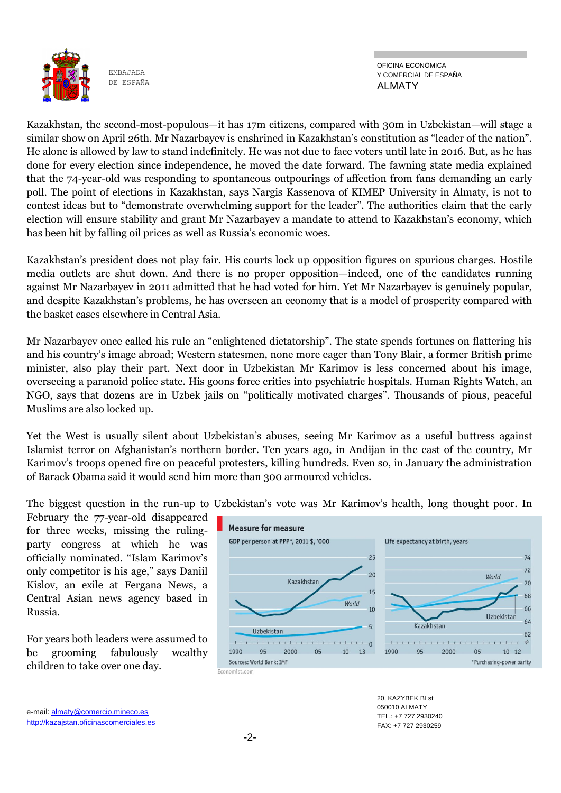

OFICINA ECONÓMICA Y COMERCIAL DE ESPAÑA ALMATY

Kazakhstan, the second-most-populous—it has 17m citizens, compared with 30m in Uzbekistan—will stage a similar show on April 26th. Mr Nazarbayev is enshrined in Kazakhstan's constitution as "leader of the nation". He alone is allowed by law to stand indefinitely. He was not due to face voters until late in 2016. But, as he has done for every election since independence, he moved the date forward. The fawning state media explained that the 74-year-old was responding to spontaneous outpourings of affection from fans demanding an early poll. The point of elections in Kazakhstan, says Nargis Kassenova of KIMEP University in Almaty, is not to contest ideas but to "demonstrate overwhelming support for the leader". The authorities claim that the early election will ensure stability and grant Mr Nazarbayev a mandate to attend to Kazakhstan's economy, which has been hit by falling oil prices as well as Russia's economic woes.

Kazakhstan's president does not play fair. His courts lock up opposition figures on spurious charges. Hostile media outlets are shut down. And there is no proper opposition—indeed, one of the candidates running against Mr Nazarbayev in 2011 admitted that he had voted for him. Yet Mr Nazarbayev is genuinely popular, and despite Kazakhstan's problems, he has overseen an economy that is a model of prosperity compared with the basket cases elsewhere in Central Asia.

Mr Nazarbayev once called his rule an "enlightened dictatorship". The state spends fortunes on flattering his and his country's image abroad; Western statesmen, none more eager than Tony Blair, a former British prime minister, also play their part. Next door in Uzbekistan Mr Karimov is less concerned about his image, overseeing a paranoid police state. His goons force critics into psychiatric hospitals. Human Rights Watch, an NGO, says that dozens are in Uzbek jails on "politically motivated charges". Thousands of pious, peaceful Muslims are also locked up.

Yet the West is usually silent about Uzbekistan's abuses, seeing Mr Karimov as a useful buttress against Islamist terror on Afghanistan's northern border. Ten years ago, in Andijan in the east of the country, Mr Karimov's troops opened fire on peaceful protesters, killing hundreds. Even so, in January the administration of Barack Obama said it would send him more than 300 armoured vehicles.

The biggest question in the run-up to Uzbekistan's vote was Mr Karimov's health, long thought poor. In

February the 77-year-old disappeared for three weeks, missing the rulingparty congress at which he was officially nominated. "Islam Karimov's only competitor is his age," says Daniil Kislov, an exile at Fergana News, a Central Asian news agency based in Russia.

For years both leaders were assumed to be grooming fabulously wealthy children to take over one day.



20, KAZYBEK BI st 050010 ALMATY TEL.: +7 727 2930240 FAX: +7 727 2930259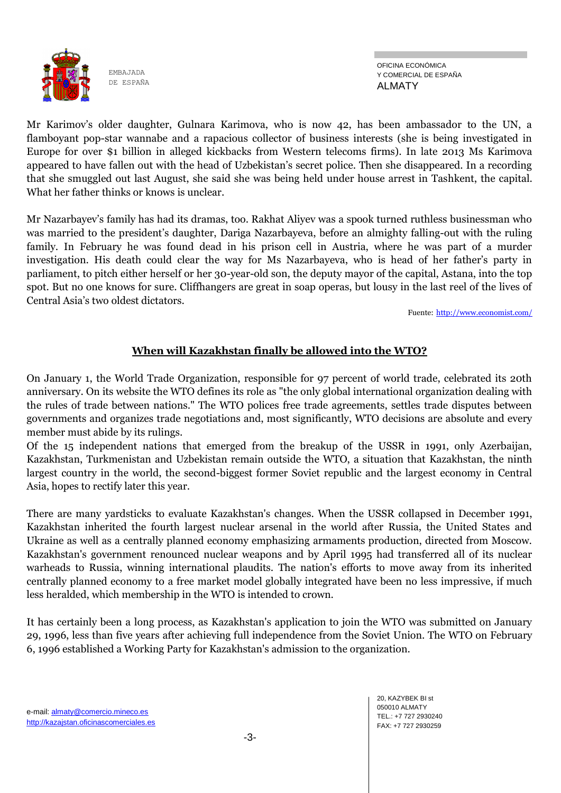

OFICINA ECONÓMICA Y COMERCIAL DE ESPAÑA ALMATY

Mr Karimov's older daughter, Gulnara Karimova, who is now 42, has been ambassador to the UN, a flamboyant pop-star wannabe and a rapacious collector of business interests (she is being investigated in Europe for over \$1 billion in alleged kickbacks from Western telecoms firms). In late 2013 Ms Karimova appeared to have fallen out with the head of Uzbekistan's secret police. Then she disappeared. In a recording that she smuggled out last August, she said she was being held under house arrest in Tashkent, the capital. What her father thinks or knows is unclear.

Mr Nazarbayev's family has had its dramas, too. Rakhat Aliyev was a spook turned ruthless businessman who was married to the president's daughter, Dariga Nazarbayeva, before an almighty falling-out with the ruling family. In February he was found dead in his prison cell in Austria, where he was part of a murder investigation. His death could clear the way for Ms Nazarbayeva, who is head of her father's party in parliament, to pitch either herself or her 30-year-old son, the deputy mayor of the capital, Astana, into the top spot. But no one knows for sure. Cliffhangers are great in soap operas, but lousy in the last reel of the lives of Central Asia's two oldest dictators.

Fuente: [http://www.economist.com/](http://www.publicfinanceinternational.org/)

#### **When will Kazakhstan finally be allowed into the WTO?**

On January 1, the World Trade Organization, responsible for 97 percent of world trade, celebrated its 20th anniversary. On its website the WTO defines its role as "the only global international organization dealing with the rules of trade between nations." The WTO polices free trade agreements, settles trade disputes between governments and organizes trade negotiations and, most significantly, WTO decisions are absolute and every member must abide by its rulings.

Of the 15 independent nations that emerged from the breakup of the USSR in 1991, only Azerbaijan, Kazakhstan, Turkmenistan and Uzbekistan remain outside the WTO, a situation that Kazakhstan, the ninth largest country in the world, the second-biggest former Soviet republic and the largest economy in Central Asia, hopes to rectify later this year.

There are many yardsticks to evaluate Kazakhstan's changes. When the USSR collapsed in December 1991, Kazakhstan inherited the fourth largest nuclear arsenal in the world after Russia, the United States and Ukraine as well as a centrally planned economy emphasizing armaments production, directed from Moscow. Kazakhstan's government renounced nuclear weapons and by April 1995 had transferred all of its nuclear warheads to Russia, winning international plaudits. The nation's efforts to move away from its inherited centrally planned economy to a free market model globally integrated have been no less impressive, if much less heralded, which membership in the WTO is intended to crown.

It has certainly been a long process, as Kazakhstan's application to join the WTO was submitted on January 29, 1996, less than five years after achieving full independence from the Soviet Union. The WTO on February 6, 1996 established a Working Party for Kazakhstan's admission to the organization.

20, KAZYBEK BI st 050010 ALMATY TEL.: +7 727 2930240 FAX: +7 727 2930259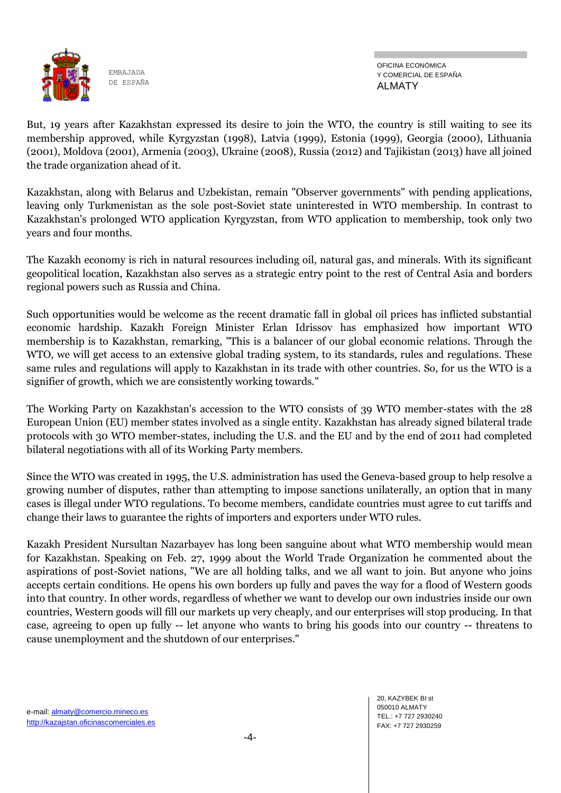

OFICINA ECONÓMICA Y COMERCIAL DE ESPAÑA ALMATY

But, 19 years after Kazakhstan expressed its desire to join the WTO, the country is still waiting to see its membership approved, while Kyrgyzstan (1998), Latvia (1999), Estonia (1999), Georgia (2000), Lithuania (2001), Moldova (2001), Armenia (2003), Ukraine (2008), Russia (2012) and Tajikistan (2013) have all joined the trade organization ahead of it.

Kazakhstan, along with Belarus and Uzbekistan, remain "Observer governments" with pending applications, leaving only Turkmenistan as the sole post-Soviet state uninterested in WTO membership. In contrast to Kazakhstan's prolonged WTO application Kyrgyzstan, from WTO application to membership, took only two years and four months.

The Kazakh economy is rich in natural resources including oil, natural gas, and minerals. With its significant geopolitical location, Kazakhstan also serves as a strategic entry point to the rest of Central Asia and borders regional powers such as Russia and China.

Such opportunities would be welcome as the recent dramatic fall in global oil prices has inflicted substantial economic hardship. Kazakh Foreign Minister Erlan Idrissov has emphasized how important WTO membership is to Kazakhstan, remarking, "This is a balancer of our global economic relations. Through the WTO, we will get access to an extensive global trading system, to its standards, rules and regulations. These same rules and regulations will apply to Kazakhstan in its trade with other countries. So, for us the WTO is a signifier of growth, which we are consistently working towards."

The Working Party on Kazakhstan's accession to the WTO consists of 39 WTO member-states with the 28 European Union (EU) member states involved as a single entity. Kazakhstan has already signed bilateral trade protocols with 30 WTO member-states, including the U.S. and the EU and by the end of 2011 had completed bilateral negotiations with all of its Working Party members.

Since the WTO was created in 1995, the U.S. administration has used the Geneva-based group to help resolve a growing number of disputes, rather than attempting to impose sanctions unilaterally, an option that in many cases is illegal under WTO regulations. To become members, candidate countries must agree to cut tariffs and change their laws to guarantee the rights of importers and exporters under WTO rules.

Kazakh President Nursultan Nazarbayev has long been sanguine about what WTO membership would mean for Kazakhstan. Speaking on Feb. 27, 1999 about the World Trade Organization he commented about the aspirations of post-Soviet nations, "We are all holding talks, and we all want to join. But anyone who joins accepts certain conditions. He opens his own borders up fully and paves the way for a flood of Western goods into that country. In other words, regardless of whether we want to develop our own industries inside our own countries, Western goods will fill our markets up very cheaply, and our enterprises will stop producing. In that case, agreeing to open up fully -- let anyone who wants to bring his goods into our country -- threatens to cause unemployment and the shutdown of our enterprises."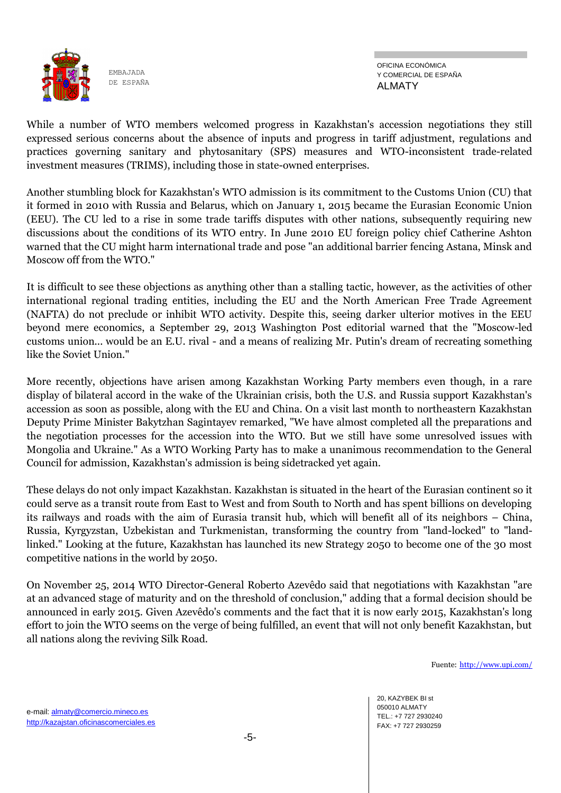

While a number of WTO members welcomed progress in Kazakhstan's accession negotiations they still expressed serious concerns about the absence of inputs and progress in tariff adjustment, regulations and practices governing sanitary and phytosanitary (SPS) measures and WTO-inconsistent trade-related investment measures (TRIMS), including those in state-owned enterprises.

Another stumbling block for Kazakhstan's WTO admission is its commitment to the Customs Union (CU) that it formed in 2010 with Russia and Belarus, which on January 1, 2015 became the Eurasian Economic Union (EEU). The CU led to a rise in some trade tariffs disputes with other nations, subsequently requiring new discussions about the conditions of its WTO entry. In June 2010 EU foreign policy chief Catherine Ashton warned that the CU might harm international trade and pose "an additional barrier fencing Astana, Minsk and Moscow off from the WTO."

It is difficult to see these objections as anything other than a stalling tactic, however, as the activities of other international regional trading entities, including the EU and the North American Free Trade Agreement (NAFTA) do not preclude or inhibit WTO activity. Despite this, seeing darker ulterior motives in the EEU beyond mere economics, a September 29, 2013 Washington Post editorial warned that the "Moscow-led customs union... would be an E.U. rival - and a means of realizing Mr. Putin's dream of recreating something like the Soviet Union."

More recently, objections have arisen among Kazakhstan Working Party members even though, in a rare display of bilateral accord in the wake of the Ukrainian crisis, both the U.S. and Russia support Kazakhstan's accession as soon as possible, along with the EU and China. On a visit last month to northeastern Kazakhstan Deputy Prime Minister Bakytzhan Sagintayev remarked, "We have almost completed all the preparations and the negotiation processes for the accession into the WTO. But we still have some unresolved issues with Mongolia and Ukraine." As a WTO Working Party has to make a unanimous recommendation to the General Council for admission, Kazakhstan's admission is being sidetracked yet again.

These delays do not only impact Kazakhstan. Kazakhstan is situated in the heart of the Eurasian continent so it could serve as a transit route from East to West and from South to North and has spent billions on developing its railways and roads with the aim of Eurasia transit hub, which will benefit all of its neighbors – China, Russia, Kyrgyzstan, Uzbekistan and Turkmenistan, transforming the country from "land-locked" to "landlinked." Looking at the future, Kazakhstan has launched its new Strategy 2050 to become one of the 30 most competitive nations in the world by 2050.

On November 25, 2014 WTO Director-General Roberto Azevêdo said that negotiations with Kazakhstan "are at an advanced stage of maturity and on the threshold of conclusion," adding that a formal decision should be announced in early 2015. Given Azevêdo's comments and the fact that it is now early 2015, Kazakhstan's long effort to join the WTO seems on the verge of being fulfilled, an event that will not only benefit Kazakhstan, but all nations along the reviving Silk Road.

Fuente: <http://www.upi.com/>

20, KAZYBEK BI st 050010 ALMATY TEL.: +7 727 2930240 FAX: +7 727 2930259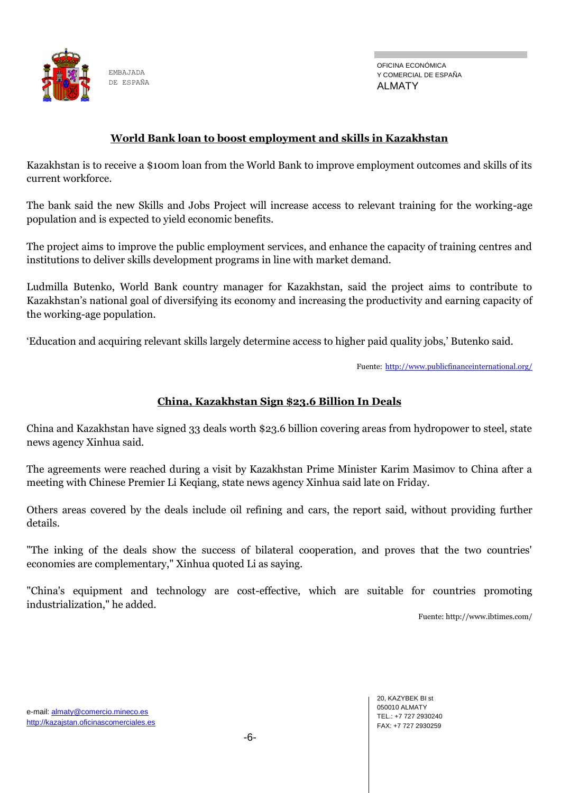

OFICINA ECONÓMICA Y COMERCIAL DE ESPAÑA ALMATY

#### **World Bank loan to boost employment and skills in Kazakhstan**

Kazakhstan is to receive a \$100m loan from the World Bank to improve employment outcomes and skills of its current workforce.

The bank said the new Skills and Jobs Project will increase access to relevant training for the working-age population and is expected to yield economic benefits.

The project aims to improve the public employment services, and enhance the capacity of training centres and institutions to deliver skills development programs in line with market demand.

Ludmilla Butenko, World Bank country manager for Kazakhstan, said the project aims to contribute to Kazakhstan's national goal of diversifying its economy and increasing the productivity and earning capacity of the working-age population.

'Education and acquiring relevant skills largely determine access to higher paid quality jobs,' Butenko said.

Fuente: <http://www.publicfinanceinternational.org/>

#### **China, Kazakhstan Sign \$23.6 Billion In Deals**

China and Kazakhstan have signed 33 deals worth \$23.6 billion covering areas from hydropower to steel, state news agency Xinhua said.

The agreements were reached during a visit by Kazakhstan Prime Minister Karim Masimov to China after a meeting with Chinese Premier Li Keqiang, state news agency Xinhua said late on Friday.

Others areas covered by the deals include oil refining and cars, the report said, without providing further details.

"The inking of the deals show the success of bilateral cooperation, and proves that the two countries' economies are complementary," Xinhua quoted Li as saying.

"China's equipment and technology are cost-effective, which are suitable for countries promoting industrialization," he added.

Fuente: <http://www.ibtimes.com/>

20, KAZYBEK BI st 050010 ALMATY TEL.: +7 727 2930240 FAX: +7 727 2930259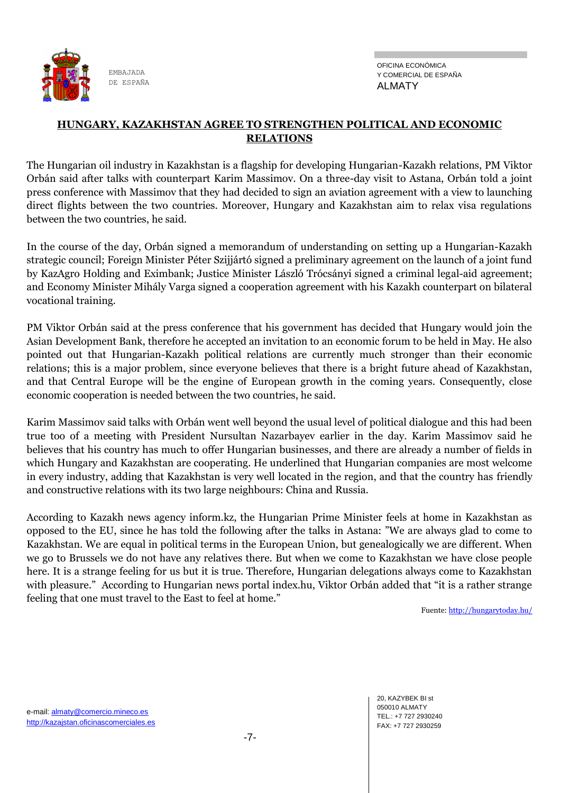

#### **HUNGARY, KAZAKHSTAN AGREE TO STRENGTHEN POLITICAL AND ECONOMIC RELATIONS**

The Hungarian oil industry in Kazakhstan is a flagship for developing Hungarian-Kazakh relations, PM Viktor Orbán said after talks with counterpart Karim Massimov. On a three-day visit to Astana, Orbán told a joint press conference with Massimov that they had decided to sign an aviation agreement with a view to launching direct flights between the two countries. Moreover, Hungary and Kazakhstan aim to relax visa regulations between the two countries, he said.

In the course of the day, Orbán signed a memorandum of understanding on setting up a Hungarian-Kazakh strategic council; Foreign Minister Péter Szijjártó signed a preliminary agreement on the launch of a joint fund by KazAgro Holding and Eximbank; Justice Minister László Trócsányi signed a criminal legal-aid agreement; and Economy Minister Mihály Varga signed a cooperation agreement with his Kazakh counterpart on bilateral vocational training.

PM Viktor Orbán said at the press conference that his government has decided that Hungary would join the Asian Development Bank, therefore he accepted an invitation to an economic forum to be held in May. He also pointed out that Hungarian-Kazakh political relations are currently much stronger than their economic relations; this is a major problem, since everyone believes that there is a bright future ahead of Kazakhstan, and that Central Europe will be the engine of European growth in the coming years. Consequently, close economic cooperation is needed between the two countries, he said.

Karim Massimov said talks with Orbán went well beyond the usual level of political dialogue and this had been true too of a meeting with President Nursultan Nazarbayev earlier in the day. Karim Massimov said he believes that his country has much to offer Hungarian businesses, and there are already a number of fields in which Hungary and Kazakhstan are cooperating. He underlined that Hungarian companies are most welcome in every industry, adding that Kazakhstan is very well located in the region, and that the country has friendly and constructive relations with its two large neighbours: China and Russia.

According to Kazakh news agency inform.kz, the Hungarian Prime Minister feels at home in Kazakhstan as opposed to the EU, since he has told the following after the talks in Astana: "We are always glad to come to Kazakhstan. We are equal in political terms in the European Union, but genealogically we are different. When we go to Brussels we do not have any relatives there. But when we come to Kazakhstan we have close people here. It is a strange feeling for us but it is true. Therefore, Hungarian delegations always come to Kazakhstan with pleasure." According to Hungarian news portal index.hu, Viktor Orbán added that "it is a rather strange feeling that one must travel to the East to feel at home."

Fuente[: http://hungarytoday.hu/](http://hungarytoday.hu/)

20, KAZYBEK BI st 050010 ALMATY TEL.: +7 727 2930240 FAX: +7 727 2930259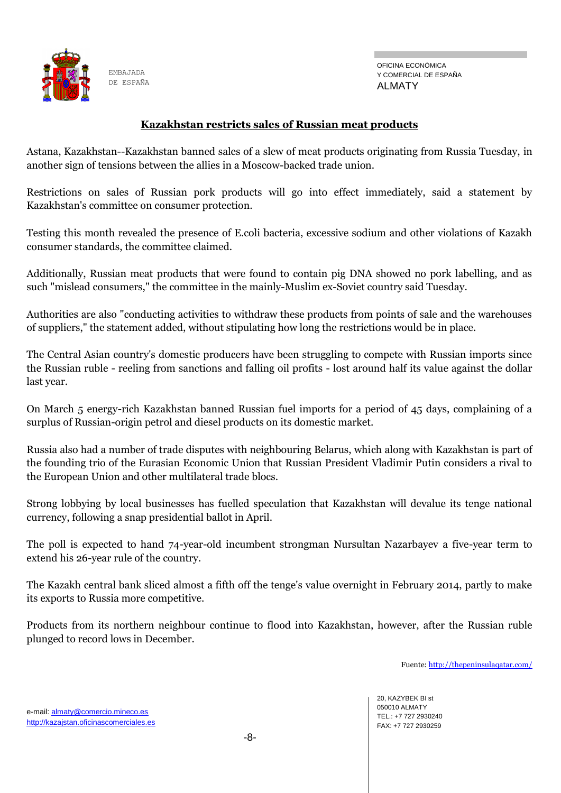

#### **Kazakhstan restricts sales of Russian meat products**

Astana, Kazakhstan--Kazakhstan banned sales of a slew of meat products originating from Russia Tuesday, in another sign of tensions between the allies in a Moscow-backed trade union.

Restrictions on sales of Russian pork products will go into effect immediately, said a statement by Kazakhstan's committee on consumer protection.

Testing this month revealed the presence of E.coli bacteria, excessive sodium and other violations of Kazakh consumer standards, the committee claimed.

Additionally, Russian meat products that were found to contain pig DNA showed no pork labelling, and as such "mislead consumers," the committee in the mainly-Muslim ex-Soviet country said Tuesday.

Authorities are also "conducting activities to withdraw these products from points of sale and the warehouses of suppliers," the statement added, without stipulating how long the restrictions would be in place.

The Central Asian country's domestic producers have been struggling to compete with Russian imports since the Russian ruble - reeling from sanctions and falling oil profits - lost around half its value against the dollar last year.

On March 5 energy-rich Kazakhstan banned Russian fuel imports for a period of 45 days, complaining of a surplus of Russian-origin petrol and diesel products on its domestic market.

Russia also had a number of trade disputes with neighbouring Belarus, which along with Kazakhstan is part of the founding trio of the Eurasian Economic Union that Russian President Vladimir Putin considers a rival to the European Union and other multilateral trade blocs.

Strong lobbying by local businesses has fuelled speculation that Kazakhstan will devalue its tenge national currency, following a snap presidential ballot in April.

The poll is expected to hand 74-year-old incumbent strongman Nursultan Nazarbayev a five-year term to extend his 26-year rule of the country.

The Kazakh central bank sliced almost a fifth off the tenge's value overnight in February 2014, partly to make its exports to Russia more competitive.

Products from its northern neighbour continue to flood into Kazakhstan, however, after the Russian ruble plunged to record lows in December.

Fuente[: http://thepeninsulaqatar.com/](http://thepeninsulaqatar.com/)

20, KAZYBEK BI st 050010 ALMATY TEL.: +7 727 2930240 FAX: +7 727 2930259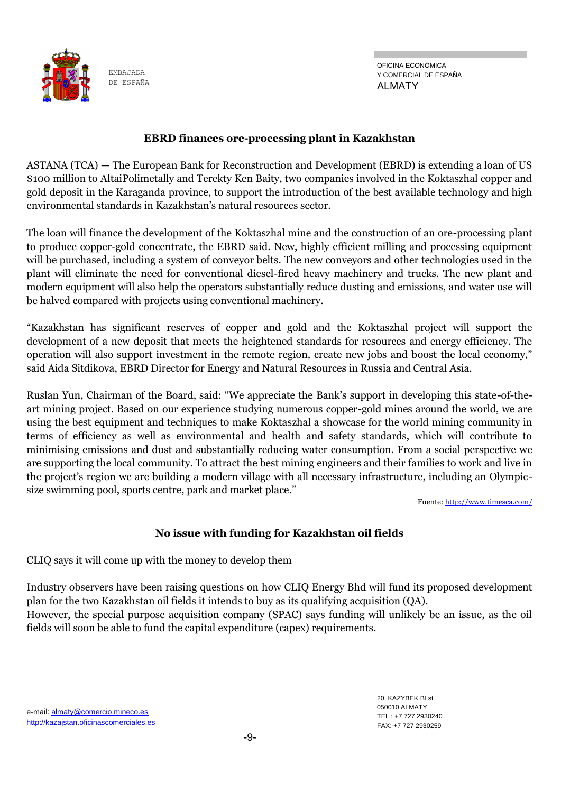

OFICINA ECONÓMICA Y COMERCIAL DE ESPAÑA ALMATY

#### **EBRD finances ore-processing plant in Kazakhstan**

ASTANA (TCA) — The European Bank for Reconstruction and Development (EBRD) is extending a loan of US \$100 million to AltaiPolimetally and Terekty Ken Baity, two companies involved in the Koktaszhal copper and gold deposit in the Karaganda province, to support the introduction of the best available technology and high environmental standards in Kazakhstan's natural resources sector.

The loan will finance the development of the Koktaszhal mine and the construction of an ore-processing plant to produce copper-gold concentrate, the EBRD said. New, highly efficient milling and processing equipment will be purchased, including a system of conveyor belts. The new conveyors and other technologies used in the plant will eliminate the need for conventional diesel-fired heavy machinery and trucks. The new plant and modern equipment will also help the operators substantially reduce dusting and emissions, and water use will be halved compared with projects using conventional machinery.

"Kazakhstan has significant reserves of copper and gold and the Koktaszhal project will support the development of a new deposit that meets the heightened standards for resources and energy efficiency. The operation will also support investment in the remote region, create new jobs and boost the local economy," said Aida Sitdikova, EBRD Director for Energy and Natural Resources in Russia and Central Asia.

Ruslan Yun, Chairman of the Board, said: "We appreciate the Bank's support in developing this state-of-theart mining project. Based on our experience studying numerous copper-gold mines around the world, we are using the best equipment and techniques to make Koktaszhal a showcase for the world mining community in terms of efficiency as well as environmental and health and safety standards, which will contribute to minimising emissions and dust and substantially reducing water consumption. From a social perspective we are supporting the local community. To attract the best mining engineers and their families to work and live in the project's region we are building a modern village with all necessary infrastructure, including an Olympicsize swimming pool, sports centre, park and market place."

Fuente[: http://www.timesca.com/](http://www.timesca.com/)

## **No issue with funding for Kazakhstan oil fields**

CLIQ says it will come up with the money to develop them

Industry observers have been raising questions on how CLIQ Energy Bhd will fund its proposed development plan for the two Kazakhstan oil fields it intends to buy as its qualifying acquisition (QA). However, the special purpose acquisition company (SPAC) says funding will unlikely be an issue, as the oil fields will soon be able to fund the capital expenditure (capex) requirements.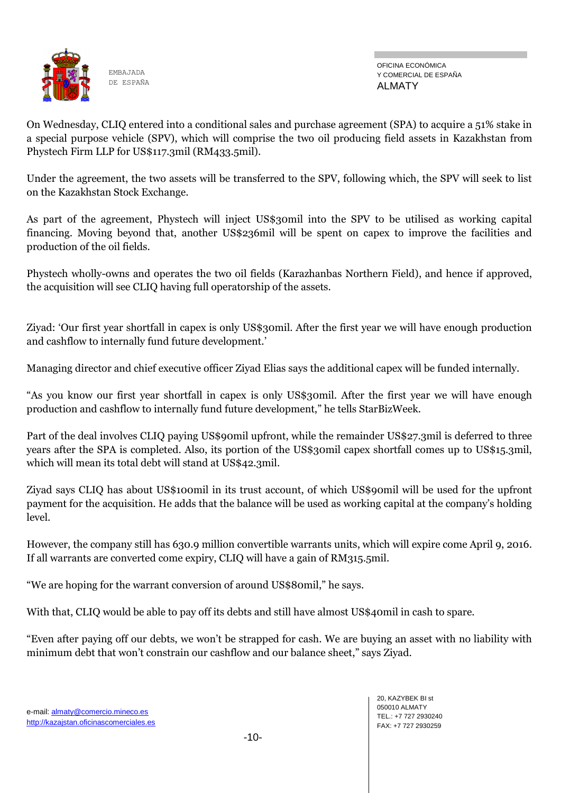

On Wednesday, CLIQ entered into a conditional sales and purchase agreement (SPA) to acquire a 51% stake in a special purpose vehicle (SPV), which will comprise the two oil producing field assets in Kazakhstan from Phystech Firm LLP for US\$117.3mil (RM433.5mil).

Under the agreement, the two assets will be transferred to the SPV, following which, the SPV will seek to list on the Kazakhstan Stock Exchange.

As part of the agreement, Phystech will inject US\$30mil into the SPV to be utilised as working capital financing. Moving beyond that, another US\$236mil will be spent on capex to improve the facilities and production of the oil fields.

Phystech wholly-owns and operates the two oil fields (Karazhanbas Northern Field), and hence if approved, the acquisition will see CLIQ having full operatorship of the assets.

Ziyad: 'Our first year shortfall in capex is only US\$30mil. After the first year we will have enough production and cashflow to internally fund future development.'

Managing director and chief executive officer Ziyad Elias says the additional capex will be funded internally.

"As you know our first year shortfall in capex is only US\$30mil. After the first year we will have enough production and cashflow to internally fund future development," he tells StarBizWeek.

Part of the deal involves CLIQ paying US\$90mil upfront, while the remainder US\$27.3mil is deferred to three years after the SPA is completed. Also, its portion of the US\$30mil capex shortfall comes up to US\$15.3mil, which will mean its total debt will stand at US\$42.3mil.

Ziyad says CLIQ has about US\$100mil in its trust account, of which US\$90mil will be used for the upfront payment for the acquisition. He adds that the balance will be used as working capital at the company's holding level.

However, the company still has 630.9 million convertible warrants units, which will expire come April 9, 2016. If all warrants are converted come expiry, CLIQ will have a gain of RM315.5mil.

"We are hoping for the warrant conversion of around US\$80mil," he says.

With that, CLIQ would be able to pay off its debts and still have almost US\$40mil in cash to spare.

"Even after paying off our debts, we won't be strapped for cash. We are buying an asset with no liability with minimum debt that won't constrain our cashflow and our balance sheet," says Ziyad.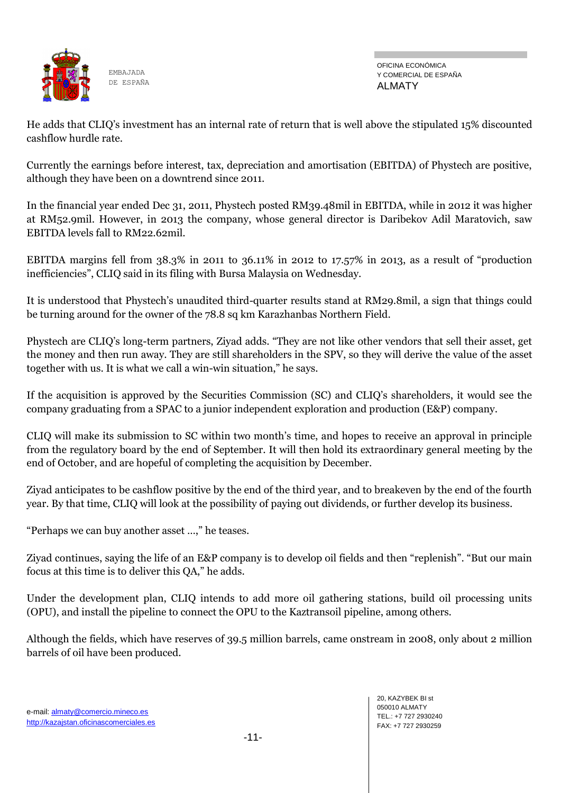

OFICINA ECONÓMICA Y COMERCIAL DE ESPAÑA ALMATY

He adds that CLIQ's investment has an internal rate of return that is well above the stipulated 15% discounted cashflow hurdle rate.

Currently the earnings before interest, tax, depreciation and amortisation (EBITDA) of Phystech are positive, although they have been on a downtrend since 2011.

In the financial year ended Dec 31, 2011, Phystech posted RM39.48mil in EBITDA, while in 2012 it was higher at RM52.9mil. However, in 2013 the company, whose general director is Daribekov Adil Maratovich, saw EBITDA levels fall to RM22.62mil.

EBITDA margins fell from 38.3% in 2011 to 36.11% in 2012 to 17.57% in 2013, as a result of "production inefficiencies", CLIQ said in its filing with Bursa Malaysia on Wednesday.

It is understood that Phystech's unaudited third-quarter results stand at RM29.8mil, a sign that things could be turning around for the owner of the 78.8 sq km Karazhanbas Northern Field.

Phystech are CLIQ's long-term partners, Ziyad adds. "They are not like other vendors that sell their asset, get the money and then run away. They are still shareholders in the SPV, so they will derive the value of the asset together with us. It is what we call a win-win situation," he says.

If the acquisition is approved by the Securities Commission (SC) and CLIQ's shareholders, it would see the company graduating from a SPAC to a junior independent exploration and production (E&P) company.

CLIQ will make its submission to SC within two month's time, and hopes to receive an approval in principle from the regulatory board by the end of September. It will then hold its extraordinary general meeting by the end of October, and are hopeful of completing the acquisition by December.

Ziyad anticipates to be cashflow positive by the end of the third year, and to breakeven by the end of the fourth year. By that time, CLIQ will look at the possibility of paying out dividends, or further develop its business.

"Perhaps we can buy another asset …," he teases.

Ziyad continues, saying the life of an E&P company is to develop oil fields and then "replenish". "But our main focus at this time is to deliver this QA," he adds.

Under the development plan, CLIQ intends to add more oil gathering stations, build oil processing units (OPU), and install the pipeline to connect the OPU to the Kaztransoil pipeline, among others.

Although the fields, which have reserves of 39.5 million barrels, came onstream in 2008, only about 2 million barrels of oil have been produced.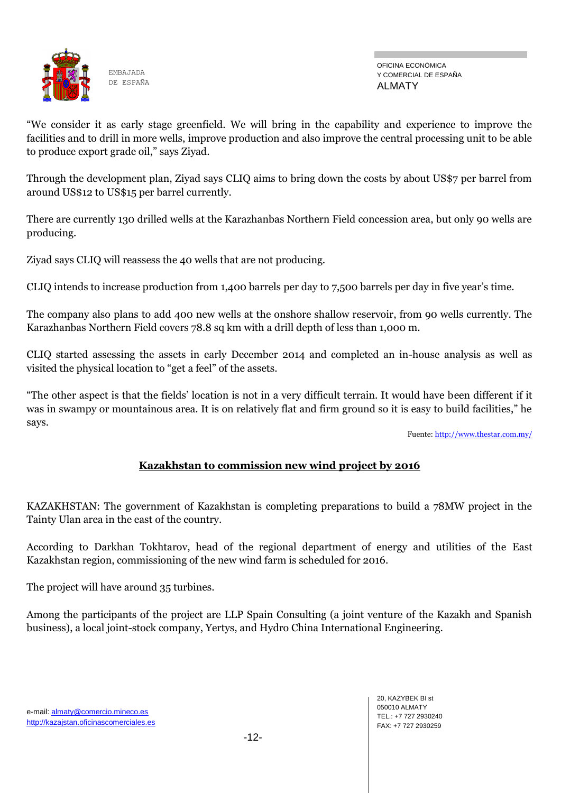

OFICINA ECONÓMICA Y COMERCIAL DE ESPAÑA ALMATY

"We consider it as early stage greenfield. We will bring in the capability and experience to improve the facilities and to drill in more wells, improve production and also improve the central processing unit to be able to produce export grade oil," says Ziyad.

Through the development plan, Ziyad says CLIQ aims to bring down the costs by about US\$7 per barrel from around US\$12 to US\$15 per barrel currently.

There are currently 130 drilled wells at the Karazhanbas Northern Field concession area, but only 90 wells are producing.

Ziyad says CLIQ will reassess the 40 wells that are not producing.

CLIQ intends to increase production from 1,400 barrels per day to 7,500 barrels per day in five year's time.

The company also plans to add 400 new wells at the onshore shallow reservoir, from 90 wells currently. The Karazhanbas Northern Field covers 78.8 sq km with a drill depth of less than 1,000 m.

CLIQ started assessing the assets in early December 2014 and completed an in-house analysis as well as visited the physical location to "get a feel" of the assets.

"The other aspect is that the fields' location is not in a very difficult terrain. It would have been different if it was in swampy or mountainous area. It is on relatively flat and firm ground so it is easy to build facilities," he says.

Fuente[: http://www.thestar.com.my/](http://www.thestar.com.my/)

## **Kazakhstan to commission new wind project by 2016**

KAZAKHSTAN: The government of Kazakhstan is completing preparations to build a 78MW project in the Tainty Ulan area in the east of the country.

According to Darkhan Tokhtarov, head of the regional department of energy and utilities of the East Kazakhstan region, commissioning of the new wind farm is scheduled for 2016.

The project will have around 35 turbines.

Among the participants of the project are LLP Spain Consulting (a joint venture of the Kazakh and Spanish business), a local joint-stock company, Yertys, and Hydro China International Engineering.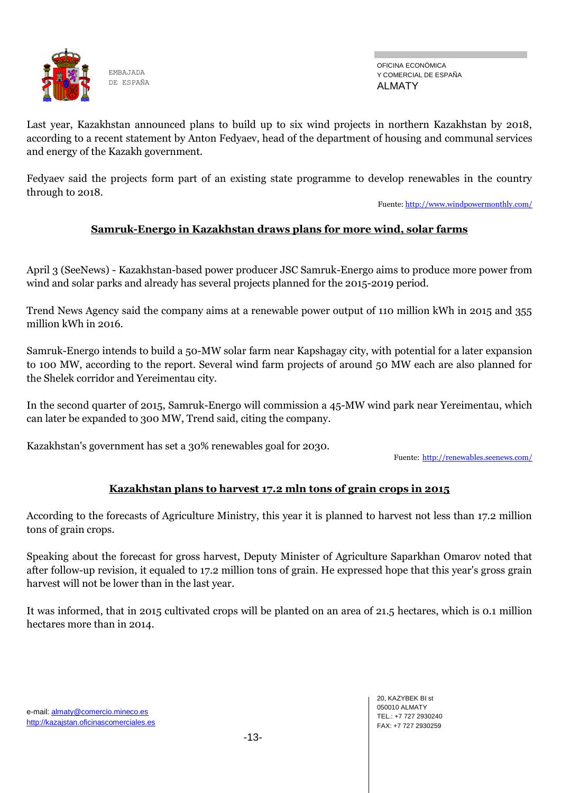

OFICINA ECONÓMICA Y COMERCIAL DE ESPAÑA ALMATY

Last year, Kazakhstan announced plans to build up to six wind projects in northern Kazakhstan by 2018, according to a recent statement by Anton Fedyaev, head of the department of housing and communal services and energy of the Kazakh government.

Fedyaev said the projects form part of an existing state programme to develop renewables in the country through to 2018.

Fuente[: http://www.windpowermonthly.com/](http://www.windpowermonthly.com/)

## **Samruk-Energo in Kazakhstan draws plans for more wind, solar farms**

April 3 (SeeNews) - Kazakhstan-based power producer JSC Samruk-Energo aims to produce more power from wind and solar parks and already has several projects planned for the 2015-2019 period.

Trend News Agency said the company aims at a renewable power output of 110 million kWh in 2015 and 355 million kWh in 2016.

Samruk-Energo intends to build a 50-MW solar farm near Kapshagay city, with potential for a later expansion to 100 MW, according to the report. Several wind farm projects of around 50 MW each are also planned for the Shelek corridor and Yereimentau city.

In the second quarter of 2015, Samruk-Energo will commission a 45-MW wind park near Yereimentau, which can later be expanded to 300 MW, Trend said, citing the company.

Kazakhstan's government has set a 30% renewables goal for 2030.

Fuente: <http://renewables.seenews.com/>

## **Kazakhstan plans to harvest 17.2 mln tons of grain crops in 2015**

According to the forecasts of Agriculture Ministry, this year it is planned to harvest not less than 17.2 million tons of grain crops.

Speaking about the forecast for gross harvest, Deputy Minister of Agriculture Saparkhan Omarov noted that after follow-up revision, it equaled to 17.2 million tons of grain. He expressed hope that this year's gross grain harvest will not be lower than in the last year.

It was informed, that in 2015 cultivated crops will be planted on an area of 21.5 hectares, which is 0.1 million hectares more than in 2014.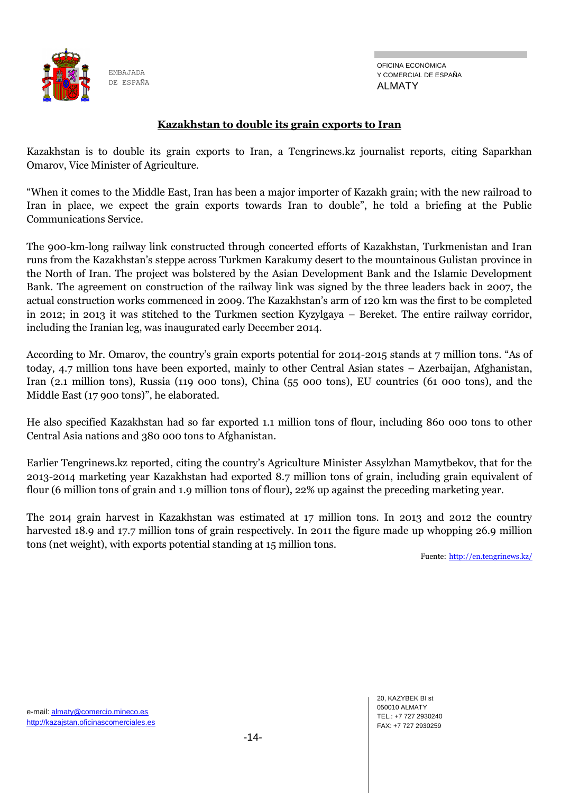

#### **Kazakhstan to double its grain exports to Iran**

Kazakhstan is to double its grain exports to Iran, a Tengrinews.kz journalist reports, citing Saparkhan Omarov, Vice Minister of Agriculture.

"When it comes to the Middle East, Iran has been a major importer of Kazakh grain; with the new railroad to Iran in place, we expect the grain exports towards Iran to double", he told a briefing at the Public Communications Service.

The 900-km-long railway link constructed through concerted efforts of Kazakhstan, Turkmenistan and Iran runs from the Kazakhstan's steppe across Turkmen Karakumy desert to the mountainous Gulistan province in the North of Iran. The project was bolstered by the Asian Development Bank and the Islamic Development Bank. The agreement on construction of the railway link was signed by the three leaders back in 2007, the actual construction works commenced in 2009. The Kazakhstan's arm of 120 km was the first to be completed in 2012; in 2013 it was stitched to the Turkmen section Kyzylgaya – Bereket. The entire railway corridor, including the Iranian leg, was inaugurated early December 2014.

According to Mr. Omarov, the country's grain exports potential for 2014-2015 stands at 7 million tons. "As of today, 4.7 million tons have been exported, mainly to other Central Asian states – Azerbaijan, Afghanistan, Iran (2.1 million tons), Russia (119 000 tons), China (55 000 tons), EU countries (61 000 tons), and the Middle East (17 900 tons)", he elaborated.

He also specified Kazakhstan had so far exported 1.1 million tons of flour, including 860 000 tons to other Central Asia nations and 380 000 tons to Afghanistan.

Earlier Tengrinews.kz reported, citing the country's Agriculture Minister Assylzhan Mamytbekov, that for the 2013-2014 marketing year Kazakhstan had exported 8.7 million tons of grain, including grain equivalent of flour (6 million tons of grain and 1.9 million tons of flour), 22% up against the preceding marketing year.

The 2014 grain harvest in Kazakhstan was estimated at 17 million tons. In 2013 and 2012 the country harvested 18.9 and 17.7 million tons of grain respectively. In 2011 the figure made up whopping 26.9 million tons (net weight), with exports potential standing at 15 million tons.

Fuente: <http://en.tengrinews.kz/>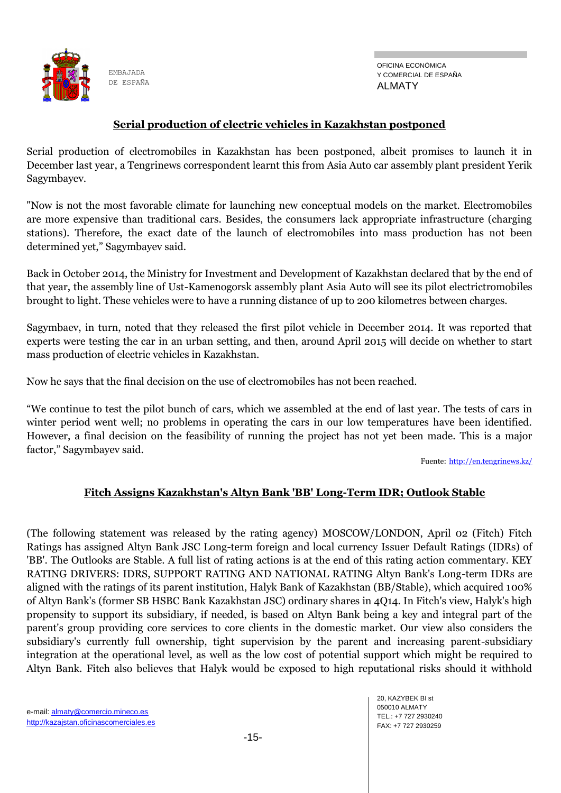

OFICINA ECONÓMICA Y COMERCIAL DE ESPAÑA ALMATY

#### **Serial production of electric vehicles in Kazakhstan postponed**

Serial production of electromobiles in Kazakhstan has been postponed, albeit promises to launch it in December last year, a Tengrinews correspondent learnt this from Asia Auto car assembly plant president Yerik Sagymbayev.

"Now is not the most favorable climate for launching new conceptual models on the market. Electromobiles are more expensive than traditional cars. Besides, the consumers lack appropriate infrastructure (charging stations). Therefore, the exact date of the launch of electromobiles into mass production has not been determined yet," Sagymbayev said.

Back in October 2014, the Ministry for Investment and Development of Kazakhstan declared that by the end of that year, the assembly line of Ust-Kamenogorsk assembly plant Asia Auto will see its pilot electrictromobiles brought to light. These vehicles were to have a running distance of up to 200 kilometres between charges.

Sagymbaev, in turn, noted that they released the first pilot vehicle in December 2014. It was reported that experts were testing the car in an urban setting, and then, around April 2015 will decide on whether to start mass production of electric vehicles in Kazakhstan.

Now he says that the final decision on the use of electromobiles has not been reached.

"We continue to test the pilot bunch of cars, which we assembled at the end of last year. The tests of cars in winter period went well; no problems in operating the cars in our low temperatures have been identified. However, a final decision on the feasibility of running the project has not yet been made. This is a major factor," Sagymbayev said.

Fuente: <http://en.tengrinews.kz/>

#### **Fitch Assigns Kazakhstan's Altyn Bank 'BB' Long-Term IDR; Outlook Stable**

(The following statement was released by the rating agency) MOSCOW/LONDON, April 02 (Fitch) Fitch Ratings has assigned Altyn Bank JSC Long-term foreign and local currency Issuer Default Ratings (IDRs) of 'BB'. The Outlooks are Stable. A full list of rating actions is at the end of this rating action commentary. KEY RATING DRIVERS: IDRS, SUPPORT RATING AND NATIONAL RATING Altyn Bank's Long-term IDRs are aligned with the ratings of its parent institution, Halyk Bank of Kazakhstan (BB/Stable), which acquired 100% of Altyn Bank's (former SB HSBC Bank Kazakhstan JSC) ordinary shares in 4Q14. In Fitch's view, Halyk's high propensity to support its subsidiary, if needed, is based on Altyn Bank being a key and integral part of the parent's group providing core services to core clients in the domestic market. Our view also considers the subsidiary's currently full ownership, tight supervision by the parent and increasing parent-subsidiary integration at the operational level, as well as the low cost of potential support which might be required to Altyn Bank. Fitch also believes that Halyk would be exposed to high reputational risks should it withhold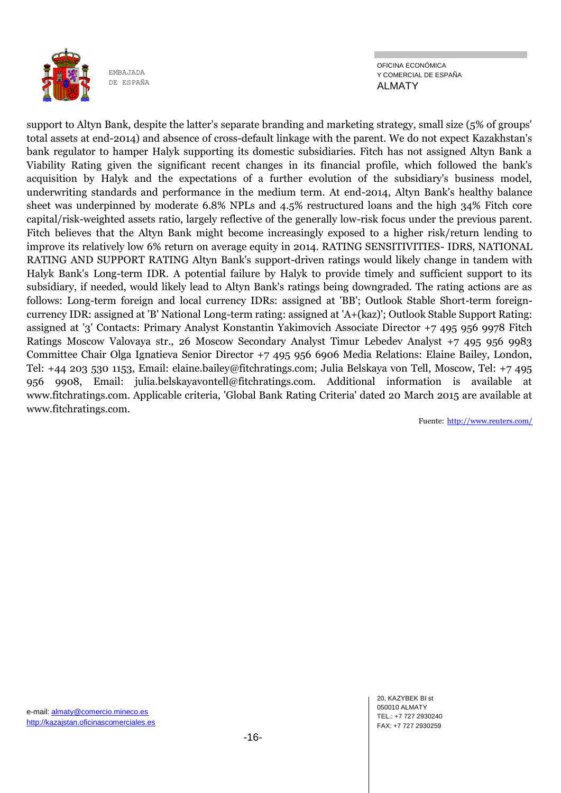

OFICINA ECONÓMICA Y COMERCIAL DE ESPAÑA ALMATY

support to Altyn Bank, despite the latter's separate branding and marketing strategy, small size (5% of groups' total assets at end-2014) and absence of cross-default linkage with the parent. We do not expect Kazakhstan's bank regulator to hamper Halyk supporting its domestic subsidiaries. Fitch has not assigned Altyn Bank a Viability Rating given the significant recent changes in its financial profile, which followed the bank's acquisition by Halyk and the expectations of a further evolution of the subsidiary's business model, underwriting standards and performance in the medium term. At end-2014, Altyn Bank's healthy balance sheet was underpinned by moderate 6.8% NPLs and 4.5% restructured loans and the high 34% Fitch core capital/risk-weighted assets ratio, largely reflective of the generally low-risk focus under the previous parent. Fitch believes that the Altyn Bank might become increasingly exposed to a higher risk/return lending to improve its relatively low 6% return on average equity in 2014. RATING SENSITIVITIES- IDRS, NATIONAL RATING AND SUPPORT RATING Altyn Bank's support-driven ratings would likely change in tandem with Halyk Bank's Long-term IDR. A potential failure by Halyk to provide timely and sufficient support to its subsidiary, if needed, would likely lead to Altyn Bank's ratings being downgraded. The rating actions are as follows: Long-term foreign and local currency IDRs: assigned at 'BB'; Outlook Stable Short-term foreigncurrency IDR: assigned at 'B' National Long-term rating: assigned at 'A+(kaz)'; Outlook Stable Support Rating: assigned at '3' Contacts: Primary Analyst Konstantin Yakimovich Associate Director +7 495 956 9978 Fitch Ratings Moscow Valovaya str., 26 Moscow Secondary Analyst Timur Lebedev Analyst +7 495 956 9983 Committee Chair Olga Ignatieva Senior Director +7 495 956 6906 Media Relations: Elaine Bailey, London, Tel: +44 203 530 1153, Email: elaine.bailey@fitchratings.com; Julia Belskaya von Tell, Moscow, Tel: +7 495 956 9908, Email: julia.belskayavontell@fitchratings.com. Additional information is available at www.fitchratings.com. Applicable criteria, 'Global Bank Rating Criteria' dated 20 March 2015 are available at www.fitchratings.com.

Fuente: <http://www.reuters.com/>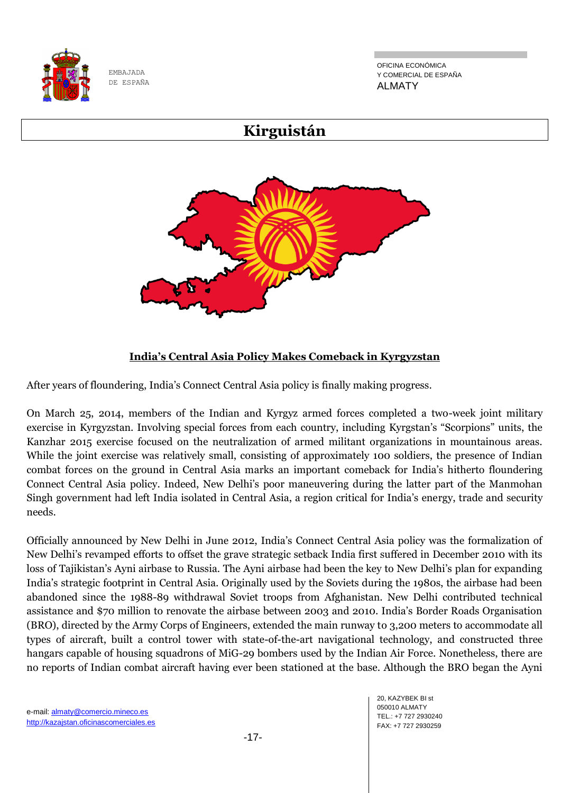

OFICINA ECONÓMICA Y COMERCIAL DE ESPAÑA ALMATY

# **Kirguistán**



## **India's Central Asia Policy Makes Comeback in Kyrgyzstan**

After years of floundering, India's Connect Central Asia policy is finally making progress.

On March 25, 2014, members of the Indian and Kyrgyz armed forces completed a two-week joint military exercise in Kyrgyzstan. Involving special forces from each country, including Kyrgstan's "Scorpions" units, the Kanzhar 2015 exercise focused on the neutralization of armed militant organizations in mountainous areas. While the joint exercise was relatively small, consisting of approximately 100 soldiers, the presence of Indian combat forces on the ground in Central Asia marks an important comeback for India's hitherto floundering Connect Central Asia policy. Indeed, New Delhi's poor maneuvering during the latter part of the Manmohan Singh government had left India isolated in Central Asia, a region critical for India's energy, trade and security needs.

Officially announced by New Delhi in June 2012, India's Connect Central Asia policy was the formalization of New Delhi's revamped efforts to offset the grave strategic setback India first suffered in December 2010 with its loss of Tajikistan's Ayni airbase to Russia. The Ayni airbase had been the key to New Delhi's plan for expanding India's strategic footprint in Central Asia. Originally used by the Soviets during the 1980s, the airbase had been abandoned since the 1988-89 withdrawal Soviet troops from Afghanistan. New Delhi contributed technical assistance and \$70 million to renovate the airbase between 2003 and 2010. India's Border Roads Organisation (BRO), directed by the Army Corps of Engineers, extended the main runway to 3,200 meters to accommodate all types of aircraft, built a control tower with state-of-the-art navigational technology, and constructed three hangars capable of housing squadrons of MiG-29 bombers used by the Indian Air Force. Nonetheless, there are no reports of Indian combat aircraft having ever been stationed at the base. Although the BRO began the Ayni

20, KAZYBEK BI st 050010 ALMATY TEL.: +7 727 2930240 FAX: +7 727 2930259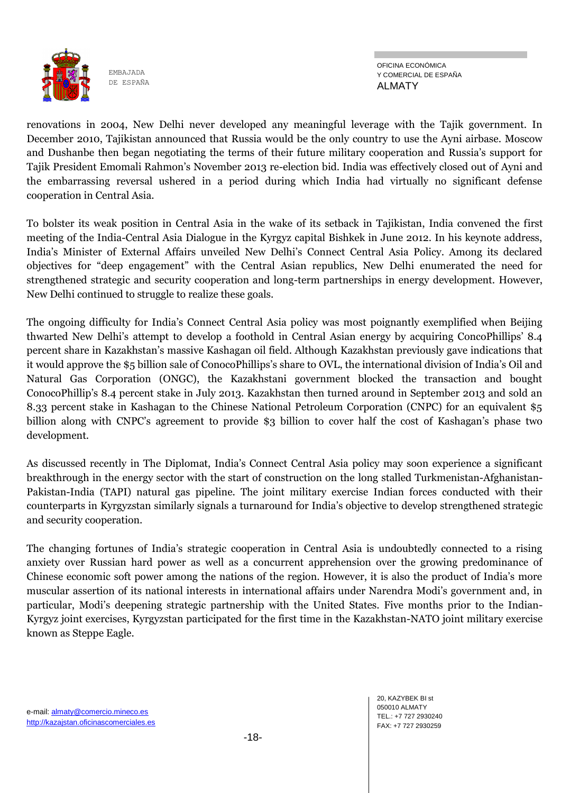

OFICINA ECONÓMICA Y COMERCIAL DE ESPAÑA ALMATY

renovations in 2004, New Delhi never developed any meaningful leverage with the Tajik government. In December 2010, Tajikistan announced that Russia would be the only country to use the Ayni airbase. Moscow and Dushanbe then began negotiating the terms of their future military cooperation and Russia's support for Tajik President Emomali Rahmon's November 2013 re-election bid. India was effectively closed out of Ayni and the embarrassing reversal ushered in a period during which India had virtually no significant defense cooperation in Central Asia.

To bolster its weak position in Central Asia in the wake of its setback in Tajikistan, India convened the first meeting of the India-Central Asia Dialogue in the Kyrgyz capital Bishkek in June 2012. In his keynote address, India's Minister of External Affairs unveiled New Delhi's Connect Central Asia Policy. Among its declared objectives for "deep engagement" with the Central Asian republics, New Delhi enumerated the need for strengthened strategic and security cooperation and long-term partnerships in energy development. However, New Delhi continued to struggle to realize these goals.

The ongoing difficulty for India's Connect Central Asia policy was most poignantly exemplified when Beijing thwarted New Delhi's attempt to develop a foothold in Central Asian energy by acquiring ConcoPhillips' 8.4 percent share in Kazakhstan's massive Kashagan oil field. Although Kazakhstan previously gave indications that it would approve the \$5 billion sale of ConocoPhillips's share to OVL, the international division of India's Oil and Natural Gas Corporation (ONGC), the Kazakhstani government blocked the transaction and bought ConocoPhillip's 8.4 percent stake in July 2013. Kazakhstan then turned around in September 2013 and sold an 8.33 percent stake in Kashagan to the Chinese National Petroleum Corporation (CNPC) for an equivalent \$5 billion along with CNPC's agreement to provide \$3 billion to cover half the cost of Kashagan's phase two development.

As discussed recently in The Diplomat, India's Connect Central Asia policy may soon experience a significant breakthrough in the energy sector with the start of construction on the long stalled Turkmenistan-Afghanistan-Pakistan-India (TAPI) natural gas pipeline. The joint military exercise Indian forces conducted with their counterparts in Kyrgyzstan similarly signals a turnaround for India's objective to develop strengthened strategic and security cooperation.

The changing fortunes of India's strategic cooperation in Central Asia is undoubtedly connected to a rising anxiety over Russian hard power as well as a concurrent apprehension over the growing predominance of Chinese economic soft power among the nations of the region. However, it is also the product of India's more muscular assertion of its national interests in international affairs under Narendra Modi's government and, in particular, Modi's deepening strategic partnership with the United States. Five months prior to the Indian-Kyrgyz joint exercises, Kyrgyzstan participated for the first time in the Kazakhstan-NATO joint military exercise known as Steppe Eagle.

> 20, KAZYBEK BI st 050010 ALMATY TEL.: +7 727 2930240 FAX: +7 727 2930259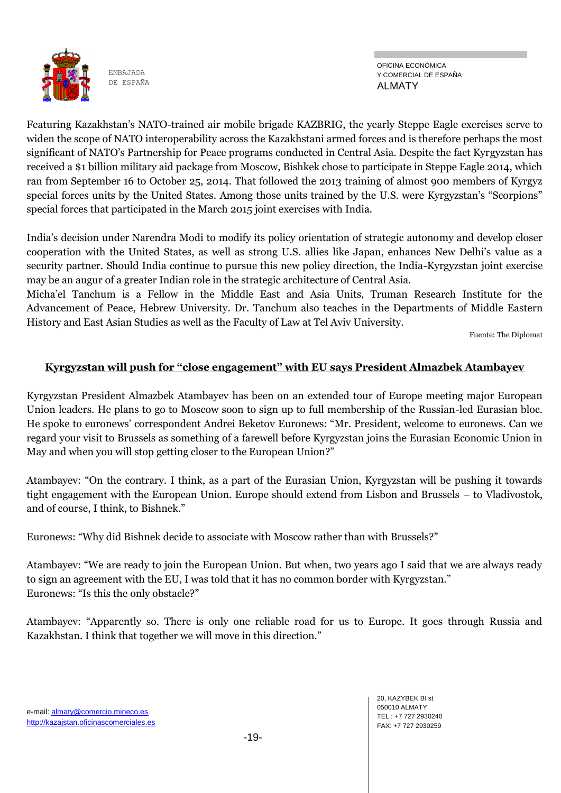

OFICINA ECONÓMICA Y COMERCIAL DE ESPAÑA ALMATY

Featuring Kazakhstan's NATO-trained air mobile brigade KAZBRIG, the yearly Steppe Eagle exercises serve to widen the scope of NATO interoperability across the Kazakhstani armed forces and is therefore perhaps the most significant of NATO's Partnership for Peace programs conducted in Central Asia. Despite the fact Kyrgyzstan has received a \$1 billion military aid package from Moscow, Bishkek chose to participate in Steppe Eagle 2014, which ran from September 16 to October 25, 2014. That followed the 2013 training of almost 900 members of Kyrgyz special forces units by the United States. Among those units trained by the U.S. were Kyrgyzstan's "Scorpions" special forces that participated in the March 2015 joint exercises with India.

India's decision under Narendra Modi to modify its policy orientation of strategic autonomy and develop closer cooperation with the United States, as well as strong U.S. allies like Japan, enhances New Delhi's value as a security partner. Should India continue to pursue this new policy direction, the India-Kyrgyzstan joint exercise may be an augur of a greater Indian role in the strategic architecture of Central Asia.

Micha'el Tanchum is a Fellow in the Middle East and Asia Units, Truman Research Institute for the Advancement of Peace, Hebrew University. Dr. Tanchum also teaches in the Departments of Middle Eastern History and East Asian Studies as well as the Faculty of Law at Tel Aviv University.

Fuente: The Diplomat

#### **Kyrgyzstan will push for "close engagement" with EU says President Almazbek Atambayev**

Kyrgyzstan President Almazbek Atambayev has been on an extended tour of Europe meeting major European Union leaders. He plans to go to Moscow soon to sign up to full membership of the Russian-led Eurasian bloc. He spoke to euronews' correspondent Andrei Beketov Euronews: "Mr. President, welcome to euronews. Can we regard your visit to Brussels as something of a farewell before Kyrgyzstan joins the Eurasian Economic Union in May and when you will stop getting closer to the European Union?"

Atambayev: "On the contrary. I think, as a part of the Eurasian Union, Kyrgyzstan will be pushing it towards tight engagement with the European Union. Europe should extend from Lisbon and Brussels – to Vladivostok, and of course, I think, to Bishnek."

Euronews: "Why did Bishnek decide to associate with Moscow rather than with Brussels?"

Atambayev: "We are ready to join the European Union. But when, two years ago I said that we are always ready to sign an agreement with the EU, I was told that it has no common border with Kyrgyzstan." Euronews: "Is this the only obstacle?"

Atambayev: "Apparently so. There is only one reliable road for us to Europe. It goes through Russia and Kazakhstan. I think that together we will move in this direction."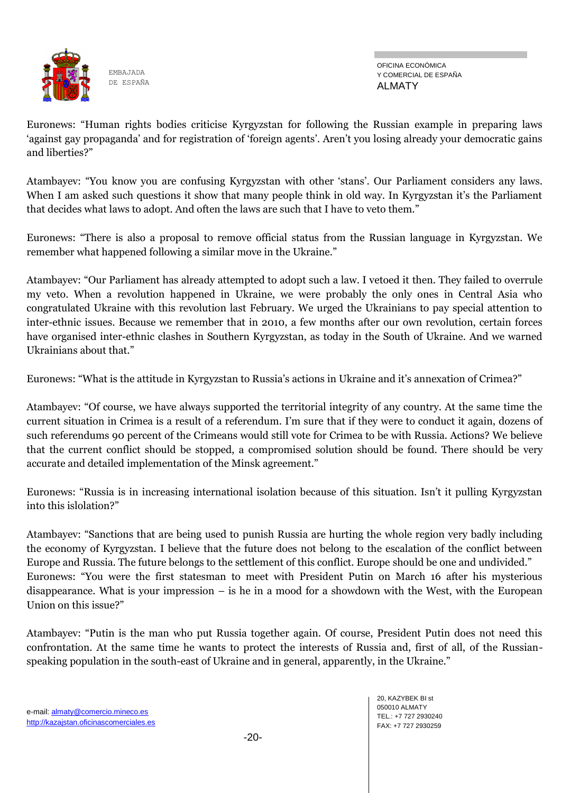

Euronews: "Human rights bodies criticise Kyrgyzstan for following the Russian example in preparing laws 'against gay propaganda' and for registration of 'foreign agents'. Aren't you losing already your democratic gains and liberties?"

Atambayev: "You know you are confusing Kyrgyzstan with other 'stans'. Our Parliament considers any laws. When I am asked such questions it show that many people think in old way. In Kyrgyzstan it's the Parliament that decides what laws to adopt. And often the laws are such that I have to veto them."

Euronews: "There is also a proposal to remove official status from the Russian language in Kyrgyzstan. We remember what happened following a similar move in the Ukraine."

Atambayev: "Our Parliament has already attempted to adopt such a law. I vetoed it then. They failed to overrule my veto. When a revolution happened in Ukraine, we were probably the only ones in Central Asia who congratulated Ukraine with this revolution last February. We urged the Ukrainians to pay special attention to inter-ethnic issues. Because we remember that in 2010, a few months after our own revolution, certain forces have organised inter-ethnic clashes in Southern Kyrgyzstan, as today in the South of Ukraine. And we warned Ukrainians about that."

Euronews: "What is the attitude in Kyrgyzstan to Russia's actions in Ukraine and it's annexation of Crimea?"

Atambayev: "Of course, we have always supported the territorial integrity of any country. At the same time the current situation in Crimea is a result of a referendum. I'm sure that if they were to conduct it again, dozens of such referendums 90 percent of the Crimeans would still vote for Crimea to be with Russia. Actions? We believe that the current conflict should be stopped, a compromised solution should be found. There should be very accurate and detailed implementation of the Minsk agreement."

Euronews: "Russia is in increasing international isolation because of this situation. Isn't it pulling Kyrgyzstan into this islolation?"

Atambayev: "Sanctions that are being used to punish Russia are hurting the whole region very badly including the economy of Kyrgyzstan. I believe that the future does not belong to the escalation of the conflict between Europe and Russia. The future belongs to the settlement of this conflict. Europe should be one and undivided." Euronews: "You were the first statesman to meet with President Putin on March 16 after his mysterious disappearance. What is your impression – is he in a mood for a showdown with the West, with the European Union on this issue?"

Atambayev: "Putin is the man who put Russia together again. Of course, President Putin does not need this confrontation. At the same time he wants to protect the interests of Russia and, first of all, of the Russianspeaking population in the south-east of Ukraine and in general, apparently, in the Ukraine."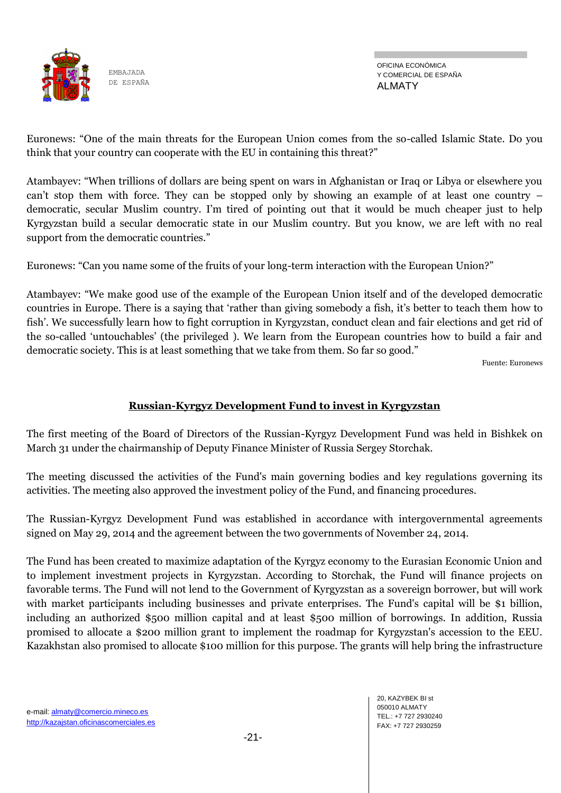

OFICINA ECONÓMICA Y COMERCIAL DE ESPAÑA ALMATY

Euronews: "One of the main threats for the European Union comes from the so-called Islamic State. Do you think that your country can cooperate with the EU in containing this threat?"

Atambayev: "When trillions of dollars are being spent on wars in Afghanistan or Iraq or Libya or elsewhere you can't stop them with force. They can be stopped only by showing an example of at least one country – democratic, secular Muslim country. I'm tired of pointing out that it would be much cheaper just to help Kyrgyzstan build a secular democratic state in our Muslim country. But you know, we are left with no real support from the democratic countries."

Euronews: "Can you name some of the fruits of your long-term interaction with the European Union?"

Atambayev: "We make good use of the example of the European Union itself and of the developed democratic countries in Europe. There is a saying that 'rather than giving somebody a fish, it's better to teach them how to fish'. We successfully learn how to fight corruption in Kyrgyzstan, conduct clean and fair elections and get rid of the so-called 'untouchables' (the privileged ). We learn from the European countries how to build a fair and democratic society. This is at least something that we take from them. So far so good."

Fuente: Euronews

## **Russian-Kyrgyz Development Fund to invest in Kyrgyzstan**

The first meeting of the Board of Directors of the Russian-Kyrgyz Development Fund was held in Bishkek on March 31 under the chairmanship of Deputy Finance Minister of Russia Sergey Storchak.

The meeting discussed the activities of the Fund's main governing bodies and key regulations governing its activities. The meeting also approved the investment policy of the Fund, and financing procedures.

The Russian-Kyrgyz Development Fund was established in accordance with intergovernmental agreements signed on May 29, 2014 and the agreement between the two governments of November 24, 2014.

The Fund has been created to maximize adaptation of the Kyrgyz economy to the Eurasian Economic Union and to implement investment projects in Kyrgyzstan. According to Storchak, the Fund will finance projects on favorable terms. The Fund will not lend to the Government of Kyrgyzstan as a sovereign borrower, but will work with market participants including businesses and private enterprises. The Fund's capital will be \$1 billion, including an authorized \$500 million capital and at least \$500 million of borrowings. In addition, Russia promised to allocate a \$200 million grant to implement the roadmap for Kyrgyzstan's accession to the EEU. Kazakhstan also promised to allocate \$100 million for this purpose. The grants will help bring the infrastructure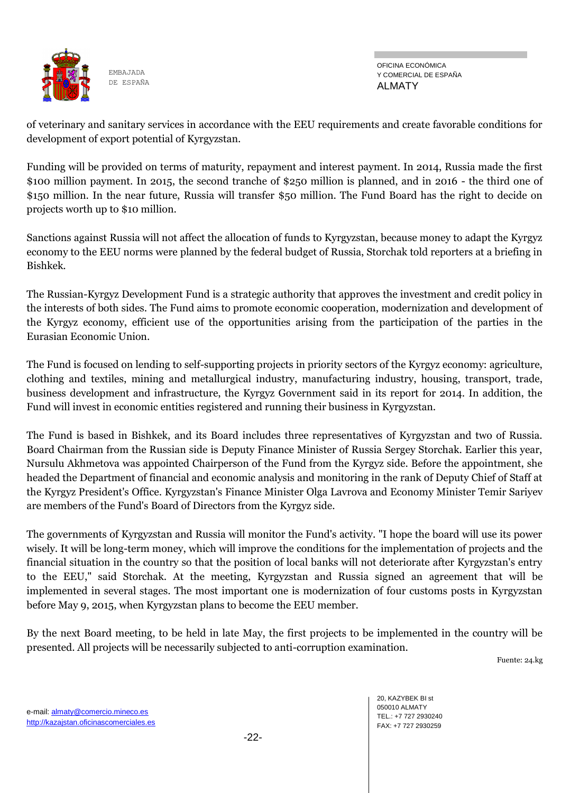

OFICINA ECONÓMICA Y COMERCIAL DE ESPAÑA ALMATY

of veterinary and sanitary services in accordance with the EEU requirements and create favorable conditions for development of export potential of Kyrgyzstan.

Funding will be provided on terms of maturity, repayment and interest payment. In 2014, Russia made the first \$100 million payment. In 2015, the second tranche of \$250 million is planned, and in 2016 - the third one of \$150 million. In the near future, Russia will transfer \$50 million. The Fund Board has the right to decide on projects worth up to \$10 million.

Sanctions against Russia will not affect the allocation of funds to Kyrgyzstan, because money to adapt the Kyrgyz economy to the EEU norms were planned by the federal budget of Russia, Storchak told reporters at a briefing in Bishkek.

The Russian-Kyrgyz Development Fund is a strategic authority that approves the investment and credit policy in the interests of both sides. The Fund aims to promote economic cooperation, modernization and development of the Kyrgyz economy, efficient use of the opportunities arising from the participation of the parties in the Eurasian Economic Union.

The Fund is focused on lending to self-supporting projects in priority sectors of the Kyrgyz economy: agriculture, clothing and textiles, mining and metallurgical industry, manufacturing industry, housing, transport, trade, business development and infrastructure, the Kyrgyz Government said in its report for 2014. In addition, the Fund will invest in economic entities registered and running their business in Kyrgyzstan.

The Fund is based in Bishkek, and its Board includes three representatives of Kyrgyzstan and two of Russia. Board Chairman from the Russian side is Deputy Finance Minister of Russia Sergey Storchak. Earlier this year, Nursulu Akhmetova was appointed Chairperson of the Fund from the Kyrgyz side. Before the appointment, she headed the Department of financial and economic analysis and monitoring in the rank of Deputy Chief of Staff at the Kyrgyz President's Office. Kyrgyzstan's Finance Minister Olga Lavrova and Economy Minister Temir Sariyev are members of the Fund's Board of Directors from the Kyrgyz side.

The governments of Kyrgyzstan and Russia will monitor the Fund's activity. "I hope the board will use its power wisely. It will be long-term money, which will improve the conditions for the implementation of projects and the financial situation in the country so that the position of local banks will not deteriorate after Kyrgyzstan's entry to the EEU," said Storchak. At the meeting, Kyrgyzstan and Russia signed an agreement that will be implemented in several stages. The most important one is modernization of four customs posts in Kyrgyzstan before May 9, 2015, when Kyrgyzstan plans to become the EEU member.

By the next Board meeting, to be held in late May, the first projects to be implemented in the country will be presented. All projects will be necessarily subjected to anti-corruption examination.

Fuente: 24.kg

20, KAZYBEK BI st 050010 ALMATY TEL.: +7 727 2930240 FAX: +7 727 2930259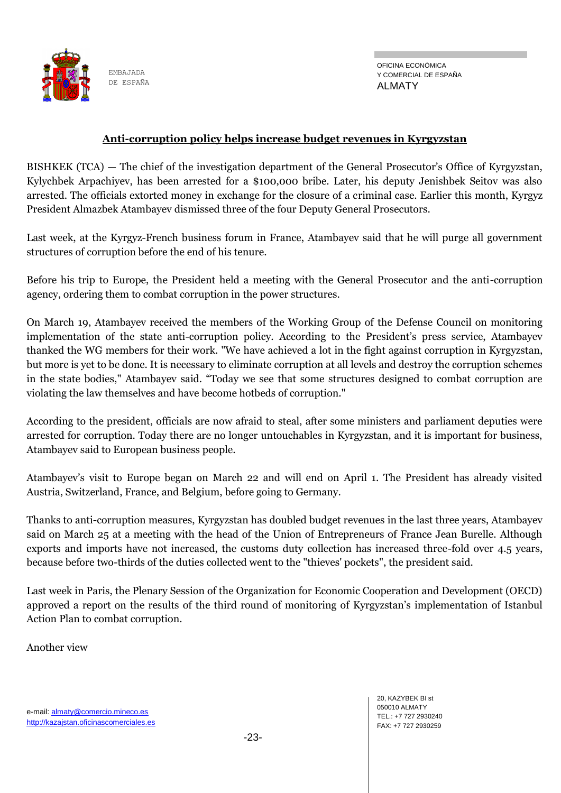

OFICINA ECONÓMICA Y COMERCIAL DE ESPAÑA ALMATY

#### **Anti-corruption policy helps increase budget revenues in Kyrgyzstan**

BISHKEK (TCA) — The chief of the investigation department of the General Prosecutor's Office of Kyrgyzstan, Kylychbek Arpachiyev, has been arrested for a \$100,000 bribe. Later, his deputy Jenishbek Seitov was also arrested. The officials extorted money in exchange for the closure of a criminal case. Earlier this month, Kyrgyz President Almazbek Atambayev dismissed three of the four Deputy General Prosecutors.

Last week, at the Kyrgyz-French business forum in France, Atambayev said that he will purge all government structures of corruption before the end of his tenure.

Before his trip to Europe, the President held a meeting with the General Prosecutor and the anti-corruption agency, ordering them to combat corruption in the power structures.

On March 19, Atambayev received the members of the Working Group of the Defense Council on monitoring implementation of the state anti-corruption policy. According to the President's press service, Atambayev thanked the WG members for their work. "We have achieved a lot in the fight against corruption in Kyrgyzstan, but more is yet to be done. It is necessary to eliminate corruption at all levels and destroy the corruption schemes in the state bodies," Atambayev said. "Today we see that some structures designed to combat corruption are violating the law themselves and have become hotbeds of corruption."

According to the president, officials are now afraid to steal, after some ministers and parliament deputies were arrested for corruption. Today there are no longer untouchables in Kyrgyzstan, and it is important for business, Atambayev said to European business people.

Atambayev's visit to Europe began on March 22 and will end on April 1. The President has already visited Austria, Switzerland, France, and Belgium, before going to Germany.

Thanks to anti-corruption measures, Kyrgyzstan has doubled budget revenues in the last three years, Atambayev said on March 25 at a meeting with the head of the Union of Entrepreneurs of France Jean Burelle. Although exports and imports have not increased, the customs duty collection has increased three-fold over 4.5 years, because before two-thirds of the duties collected went to the "thieves' pockets", the president said.

Last week in Paris, the Plenary Session of the Organization for Economic Cooperation and Development (OECD) approved a report on the results of the third round of monitoring of Kyrgyzstan's implementation of Istanbul Action Plan to combat corruption.

Another view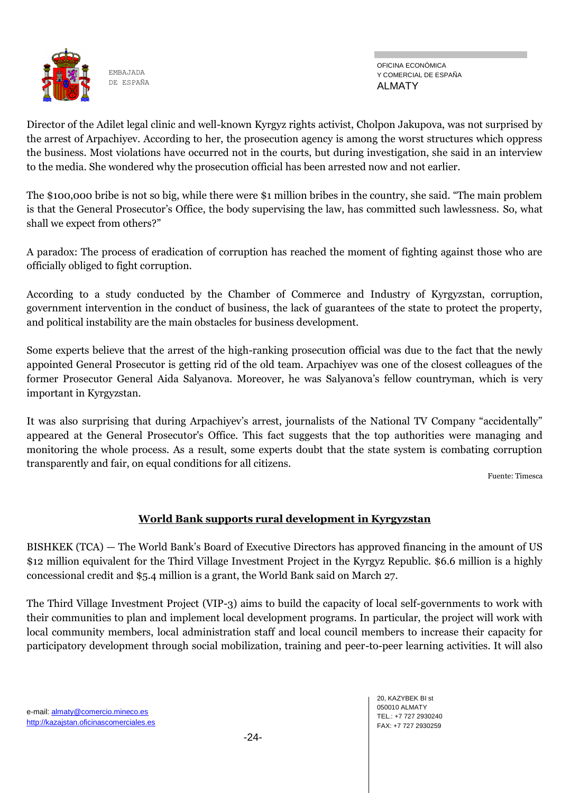

OFICINA ECONÓMICA Y COMERCIAL DE ESPAÑA ALMATY

Director of the Adilet legal clinic and well-known Kyrgyz rights activist, Cholpon Jakupova, was not surprised by the arrest of Arpachiyev. According to her, the prosecution agency is among the worst structures which oppress the business. Most violations have occurred not in the courts, but during investigation, she said in an interview to the media. She wondered why the prosecution official has been arrested now and not earlier.

The \$100,000 bribe is not so big, while there were \$1 million bribes in the country, she said. "The main problem is that the General Prosecutor's Office, the body supervising the law, has committed such lawlessness. So, what shall we expect from others?"

A paradox: The process of eradication of corruption has reached the moment of fighting against those who are officially obliged to fight corruption.

According to a study conducted by the Chamber of Commerce and Industry of Kyrgyzstan, corruption, government intervention in the conduct of business, the lack of guarantees of the state to protect the property, and political instability are the main obstacles for business development.

Some experts believe that the arrest of the high-ranking prosecution official was due to the fact that the newly appointed General Prosecutor is getting rid of the old team. Arpachiyev was one of the closest colleagues of the former Prosecutor General Aida Salyanova. Moreover, he was Salyanova's fellow countryman, which is very important in Kyrgyzstan.

It was also surprising that during Arpachiyev's arrest, journalists of the National TV Company "accidentally" appeared at the General Prosecutor's Office. This fact suggests that the top authorities were managing and monitoring the whole process. As a result, some experts doubt that the state system is combating corruption transparently and fair, on equal conditions for all citizens.

Fuente: Timesca

## **World Bank supports rural development in Kyrgyzstan**

BISHKEK (TCA) — The World Bank's Board of Executive Directors has approved financing in the amount of US \$12 million equivalent for the Third Village Investment Project in the Kyrgyz Republic. \$6.6 million is a highly concessional credit and \$5.4 million is a grant, the World Bank said on March 27.

The Third Village Investment Project (VIP-3) aims to build the capacity of local self-governments to work with their communities to plan and implement local development programs. In particular, the project will work with local community members, local administration staff and local council members to increase their capacity for participatory development through social mobilization, training and peer-to-peer learning activities. It will also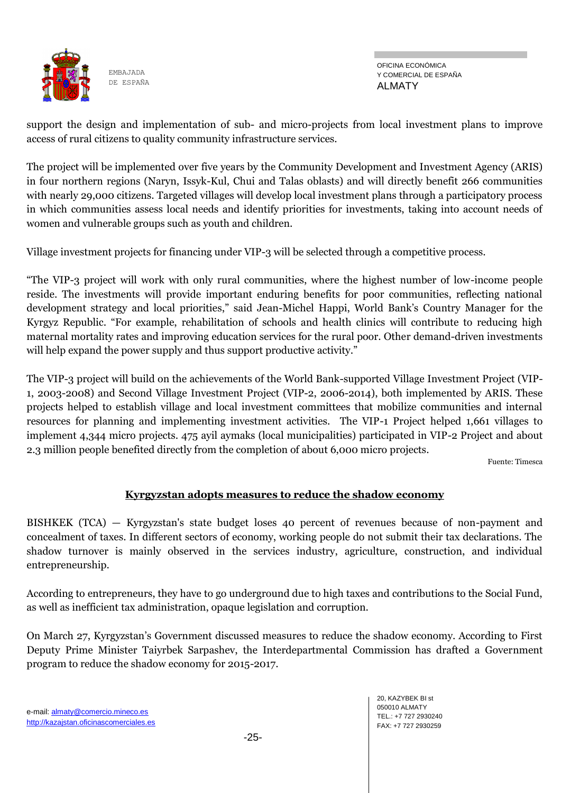

OFICINA ECONÓMICA Y COMERCIAL DE ESPAÑA ALMATY

support the design and implementation of sub- and micro-projects from local investment plans to improve access of rural citizens to quality community infrastructure services.

The project will be implemented over five years by the Community Development and Investment Agency (ARIS) in four northern regions (Naryn, Issyk-Kul, Chui and Talas oblasts) and will directly benefit 266 communities with nearly 29,000 citizens. Targeted villages will develop local investment plans through a participatory process in which communities assess local needs and identify priorities for investments, taking into account needs of women and vulnerable groups such as youth and children.

Village investment projects for financing under VIP-3 will be selected through a competitive process.

"The VIP-3 project will work with only rural communities, where the highest number of low-income people reside. The investments will provide important enduring benefits for poor communities, reflecting national development strategy and local priorities," said Jean-Michel Happi, World Bank's Country Manager for the Kyrgyz Republic. "For example, rehabilitation of schools and health clinics will contribute to reducing high maternal mortality rates and improving education services for the rural poor. Other demand-driven investments will help expand the power supply and thus support productive activity."

The VIP-3 project will build on the achievements of the World Bank-supported Village Investment Project (VIP-1, 2003-2008) and Second Village Investment Project (VIP-2, 2006-2014), both implemented by ARIS. These projects helped to establish village and local investment committees that mobilize communities and internal resources for planning and implementing investment activities. The VIP-1 Project helped 1,661 villages to implement 4,344 micro projects. 475 ayil aymaks (local municipalities) participated in VIP-2 Project and about 2.3 million people benefited directly from the completion of about 6,000 micro projects.

Fuente: Timesca

## **Kyrgyzstan adopts measures to reduce the shadow economy**

BISHKEK (TCA) — Kyrgyzstan's state budget loses 40 percent of revenues because of non-payment and concealment of taxes. In different sectors of economy, working people do not submit their tax declarations. The shadow turnover is mainly observed in the services industry, agriculture, construction, and individual entrepreneurship.

According to entrepreneurs, they have to go underground due to high taxes and contributions to the Social Fund, as well as inefficient tax administration, opaque legislation and corruption.

On March 27, Kyrgyzstan's Government discussed measures to reduce the shadow economy. According to First Deputy Prime Minister Taiyrbek Sarpashev, the Interdepartmental Commission has drafted a Government program to reduce the shadow economy for 2015-2017.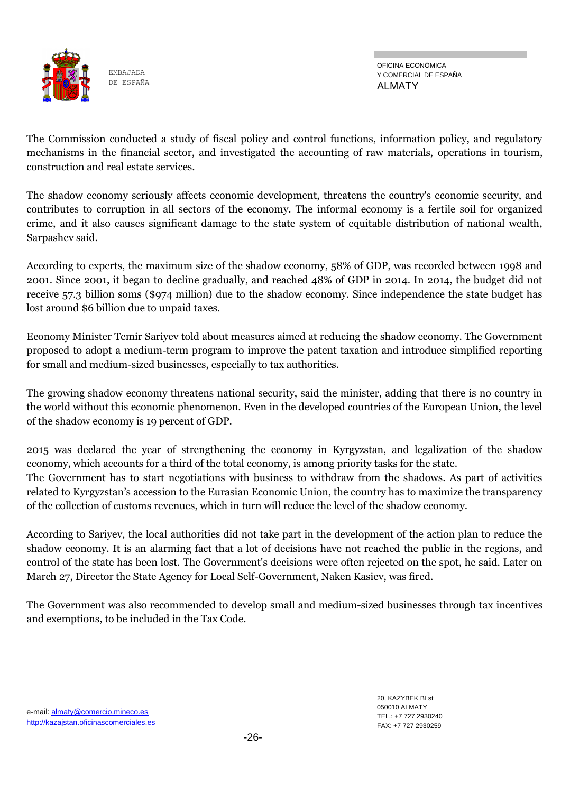

OFICINA ECONÓMICA Y COMERCIAL DE ESPAÑA ALMATY

The Commission conducted a study of fiscal policy and control functions, information policy, and regulatory mechanisms in the financial sector, and investigated the accounting of raw materials, operations in tourism, construction and real estate services.

The shadow economy seriously affects economic development, threatens the country's economic security, and contributes to corruption in all sectors of the economy. The informal economy is a fertile soil for organized crime, and it also causes significant damage to the state system of equitable distribution of national wealth, Sarpashev said.

According to experts, the maximum size of the shadow economy, 58% of GDP, was recorded between 1998 and 2001. Since 2001, it began to decline gradually, and reached 48% of GDP in 2014. In 2014, the budget did not receive 57.3 billion soms (\$974 million) due to the shadow economy. Since independence the state budget has lost around \$6 billion due to unpaid taxes.

Economy Minister Temir Sariyev told about measures aimed at reducing the shadow economy. The Government proposed to adopt a medium-term program to improve the patent taxation and introduce simplified reporting for small and medium-sized businesses, especially to tax authorities.

The growing shadow economy threatens national security, said the minister, adding that there is no country in the world without this economic phenomenon. Even in the developed countries of the European Union, the level of the shadow economy is 19 percent of GDP.

2015 was declared the year of strengthening the economy in Kyrgyzstan, and legalization of the shadow economy, which accounts for a third of the total economy, is among priority tasks for the state. The Government has to start negotiations with business to withdraw from the shadows. As part of activities related to Kyrgyzstan's accession to the Eurasian Economic Union, the country has to maximize the transparency of the collection of customs revenues, which in turn will reduce the level of the shadow economy.

According to Sariyev, the local authorities did not take part in the development of the action plan to reduce the shadow economy. It is an alarming fact that a lot of decisions have not reached the public in the regions, and control of the state has been lost. The Government's decisions were often rejected on the spot, he said. Later on March 27, Director the State Agency for Local Self-Government, Naken Kasiev, was fired.

The Government was also recommended to develop small and medium-sized businesses through tax incentives and exemptions, to be included in the Tax Code.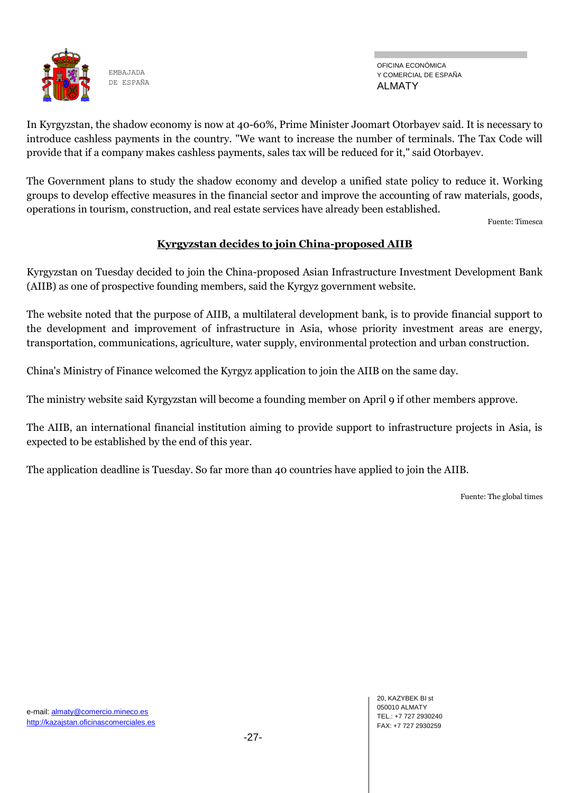

OFICINA ECONÓMICA Y COMERCIAL DE ESPAÑA ALMATY

In Kyrgyzstan, the shadow economy is now at 40-60%, Prime Minister Joomart Otorbayev said. It is necessary to introduce cashless payments in the country. "We want to increase the number of terminals. The Tax Code will provide that if a company makes cashless payments, sales tax will be reduced for it," said Otorbayev.

The Government plans to study the shadow economy and develop a unified state policy to reduce it. Working groups to develop effective measures in the financial sector and improve the accounting of raw materials, goods, operations in tourism, construction, and real estate services have already been established.

Fuente: Timesca

#### **Kyrgyzstan decides to join China-proposed AIIB**

Kyrgyzstan on Tuesday decided to join the China-proposed Asian Infrastructure Investment Development Bank (AIIB) as one of prospective founding members, said the Kyrgyz government website.

The website noted that the purpose of AIIB, a multilateral development bank, is to provide financial support to the development and improvement of infrastructure in Asia, whose priority investment areas are energy, transportation, communications, agriculture, water supply, environmental protection and urban construction.

China's Ministry of Finance welcomed the Kyrgyz application to join the AIIB on the same day.

The ministry website said Kyrgyzstan will become a founding member on April 9 if other members approve.

The AIIB, an international financial institution aiming to provide support to infrastructure projects in Asia, is expected to be established by the end of this year.

The application deadline is Tuesday. So far more than 40 countries have applied to join the AIIB.

Fuente: The global times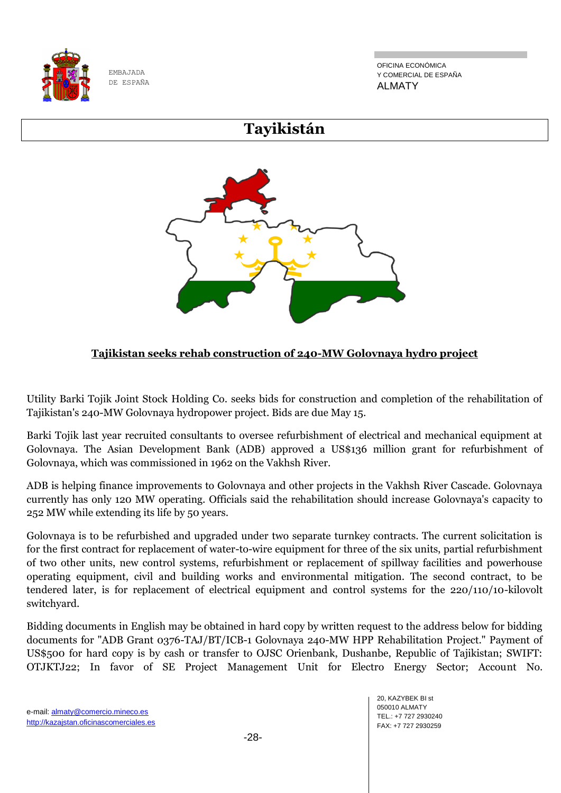

OFICINA ECONÓMICA Y COMERCIAL DE ESPAÑA ALMATY

# **Tayikistán**



## **Tajikistan seeks rehab construction of 240-MW Golovnaya hydro project**

Utility Barki Tojik Joint Stock Holding Co. seeks bids for construction and completion of the rehabilitation of Tajikistan's 240-MW Golovnaya hydropower project. Bids are due May 15.

Barki Tojik last year recruited consultants to oversee refurbishment of electrical and mechanical equipment at Golovnaya. The Asian Development Bank (ADB) approved a US\$136 million grant for refurbishment of Golovnaya, which was commissioned in 1962 on the Vakhsh River.

ADB is helping finance improvements to Golovnaya and other projects in the Vakhsh River Cascade. Golovnaya currently has only 120 MW operating. Officials said the rehabilitation should increase Golovnaya's capacity to 252 MW while extending its life by 50 years.

Golovnaya is to be refurbished and upgraded under two separate turnkey contracts. The current solicitation is for the first contract for replacement of water-to-wire equipment for three of the six units, partial refurbishment of two other units, new control systems, refurbishment or replacement of spillway facilities and powerhouse operating equipment, civil and building works and environmental mitigation. The second contract, to be tendered later, is for replacement of electrical equipment and control systems for the 220/110/10-kilovolt switchyard.

Bidding documents in English may be obtained in hard copy by written request to the address below for bidding documents for "ADB Grant 0376-TAJ/BT/ICB-1 Golovnaya 240-MW HPP Rehabilitation Project." Payment of US\$500 for hard copy is by cash or transfer to OJSC Orienbank, Dushanbe, Republic of Tajikistan; SWIFT: OTJKTJ22; In favor of SE Project Management Unit for Electro Energy Sector; Account No.

20, KAZYBEK BI st 050010 ALMATY TEL.: +7 727 2930240 FAX: +7 727 2930259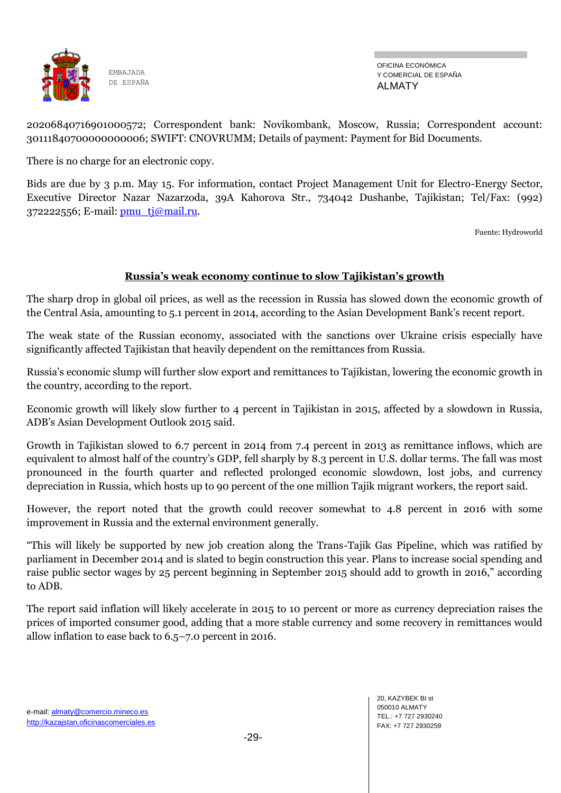

OFICINA ECONÓMICA Y COMERCIAL DE ESPAÑA ALMATY

20206840716901000572; Correspondent bank: Novikombank, Moscow, Russia; Correspondent account: 30111840700000000006; SWIFT: CNOVRUMM; Details of payment: Payment for Bid Documents.

There is no charge for an electronic copy.

Bids are due by 3 p.m. May 15. For information, contact Project Management Unit for Electro-Energy Sector, Executive Director Nazar Nazarzoda, 39A Kahorova Str., 734042 Dushanbe, Tajikistan; Tel/Fax: (992) 372222556; E-mail: [pmu\\_tj@mail.ru.](mailto:pmu_tj@mail.ru)

Fuente: Hydroworld

#### **Russia's weak economy continue to slow Tajikistan's growth**

The sharp drop in global oil prices, as well as the recession in Russia has slowed down the economic growth of the Central Asia, amounting to 5.1 percent in 2014, according to the Asian Development Bank's recent report.

The weak state of the Russian economy, associated with the sanctions over Ukraine crisis especially have significantly affected Tajikistan that heavily dependent on the remittances from Russia.

Russia's economic slump will further slow export and remittances to Tajikistan, lowering the economic growth in the country, according to the report.

Economic growth will likely slow further to 4 percent in Tajikistan in 2015, affected by a slowdown in Russia, ADB's Asian Development Outlook 2015 said.

Growth in Tajikistan slowed to 6.7 percent in 2014 from 7.4 percent in 2013 as remittance inflows, which are equivalent to almost half of the country's GDP, fell sharply by 8.3 percent in U.S. dollar terms. The fall was most pronounced in the fourth quarter and reflected prolonged economic slowdown, lost jobs, and currency depreciation in Russia, which hosts up to 90 percent of the one million Tajik migrant workers, the report said.

However, the report noted that the growth could recover somewhat to 4.8 percent in 2016 with some improvement in Russia and the external environment generally.

"This will likely be supported by new job creation along the Trans-Tajik Gas Pipeline, which was ratified by parliament in December 2014 and is slated to begin construction this year. Plans to increase social spending and raise public sector wages by 25 percent beginning in September 2015 should add to growth in 2016," according to ADB.

The report said inflation will likely accelerate in 2015 to 10 percent or more as currency depreciation raises the prices of imported consumer good, adding that a more stable currency and some recovery in remittances would allow inflation to ease back to 6.5–7.0 percent in 2016.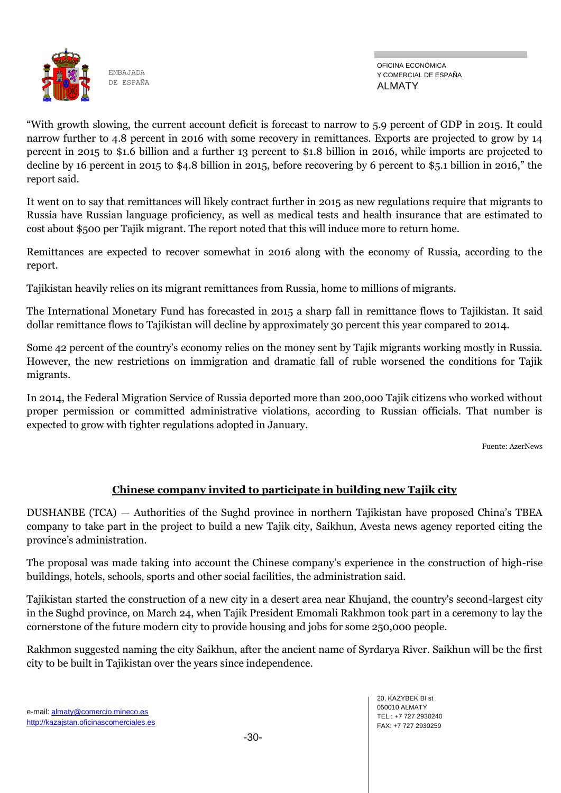

"With growth slowing, the current account deficit is forecast to narrow to 5.9 percent of GDP in 2015. It could narrow further to 4.8 percent in 2016 with some recovery in remittances. Exports are projected to grow by 14 percent in 2015 to \$1.6 billion and a further 13 percent to \$1.8 billion in 2016, while imports are projected to decline by 16 percent in 2015 to \$4.8 billion in 2015, before recovering by 6 percent to \$5.1 billion in 2016," the report said.

It went on to say that remittances will likely contract further in 2015 as new regulations require that migrants to Russia have Russian language proficiency, as well as medical tests and health insurance that are estimated to cost about \$500 per Tajik migrant. The report noted that this will induce more to return home.

Remittances are expected to recover somewhat in 2016 along with the economy of Russia, according to the report.

Tajikistan heavily relies on its migrant remittances from Russia, home to millions of migrants.

The International Monetary Fund has forecasted in 2015 a sharp fall in remittance flows to Tajikistan. It said dollar remittance flows to Tajikistan will decline by approximately 30 percent this year compared to 2014.

Some 42 percent of the country's economy relies on the money sent by Tajik migrants working mostly in Russia. However, the new restrictions on immigration and dramatic fall of ruble worsened the conditions for Tajik migrants.

In 2014, the Federal Migration Service of Russia deported more than 200,000 Tajik citizens who worked without proper permission or committed administrative violations, according to Russian officials. That number is expected to grow with tighter regulations adopted in January.

Fuente: AzerNews

## **Chinese company invited to participate in building new Tajik city**

DUSHANBE (TCA) — Authorities of the Sughd province in northern Tajikistan have proposed China's ТВЕА company to take part in the project to build a new Tajik city, Saikhun, Avesta news agency reported citing the province's administration.

The proposal was made taking into account the Chinese company's experience in the construction of high-rise buildings, hotels, schools, sports and other social facilities, the administration said.

Tajikistan started the construction of a new city in a desert area near Khujand, the country's second-largest city in the Sughd province, on March 24, when Tajik President Emomali Rakhmon took part in a ceremony to lay the cornerstone of the future modern city to provide housing and jobs for some 250,000 people.

Rakhmon suggested naming the city Saikhun, after the ancient name of Syrdarya River. Saikhun will be the first city to be built in Tajikistan over the years since independence.

20, KAZYBEK BI st 050010 ALMATY TEL.: +7 727 2930240 FAX: +7 727 2930259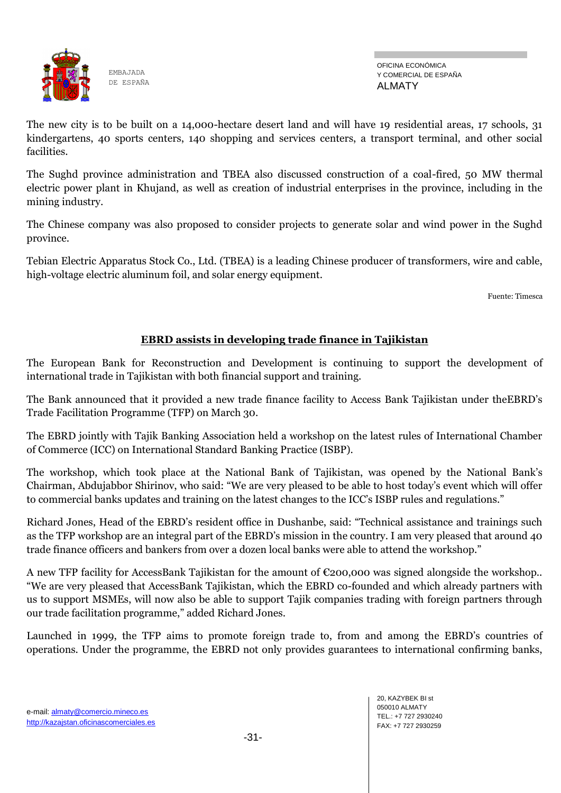

The new city is to be built on a 14,000-hectare desert land and will have 19 residential areas, 17 schools, 31 kindergartens, 40 sports centers, 140 shopping and services centers, a transport terminal, and other social facilities.

The Sughd province administration and TBEA also discussed construction of a coal-fired, 50 MW thermal electric power plant in Khujand, as well as creation of industrial enterprises in the province, including in the mining industry.

The Chinese company was also proposed to consider projects to generate solar and wind power in the Sughd province.

Tebian Electric Apparatus Stock Co., Ltd. (TBEA) is a leading Chinese producer of transformers, wire and cable, high-voltage electric aluminum foil, and solar energy equipment.

Fuente: Timesca

## **EBRD assists in developing trade finance in Tajikistan**

The European Bank for Reconstruction and Development is continuing to support the development of international trade in Tajikistan with both financial support and training.

The Bank announced that it provided a new trade finance facility to Access Bank Tajikistan under theEBRD's Trade Facilitation Programme (TFP) on March 30.

The EBRD jointly with Tajik Banking Association held a workshop on the latest rules of International Chamber of Commerce (ICC) on International Standard Banking Practice (ISBP).

The workshop, which took place at the National Bank of Tajikistan, was opened by the National Bank's Chairman, Abdujabbor Shirinov, who said: "We are very pleased to be able to host today's event which will offer to commercial banks updates and training on the latest changes to the ICC's ISBP rules and regulations."

Richard Jones, Head of the EBRD's resident office in Dushanbe, said: "Technical assistance and trainings such as the TFP workshop are an integral part of the EBRD's mission in the country. I am very pleased that around 40 trade finance officers and bankers from over a dozen local banks were able to attend the workshop."

A new TFP facility for AccessBank Tajikistan for the amount of  $\epsilon$ 200,000 was signed alongside the workshop.. "We are very pleased that AccessBank Tajikistan, which the EBRD co-founded and which already partners with us to support MSMEs, will now also be able to support Tajik companies trading with foreign partners through our trade facilitation programme," added Richard Jones.

Launched in 1999, the TFP aims to promote foreign trade to, from and among the EBRD's countries of operations. Under the programme, the EBRD not only provides guarantees to international confirming banks,